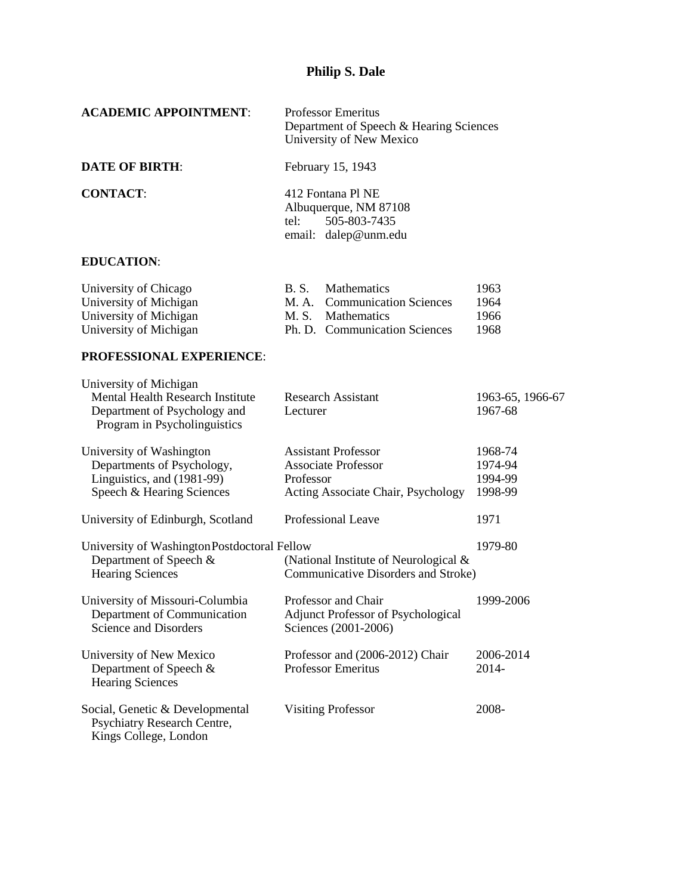| <b>ACADEMIC APPOINTMENT:</b>                                                                                                      | <b>Professor Emeritus</b><br>Department of Speech & Hearing Sciences<br>University of New Mexico                        |                                          |
|-----------------------------------------------------------------------------------------------------------------------------------|-------------------------------------------------------------------------------------------------------------------------|------------------------------------------|
| <b>DATE OF BIRTH:</b>                                                                                                             | February 15, 1943                                                                                                       |                                          |
| <b>CONTACT:</b>                                                                                                                   | 412 Fontana Pl NE<br>Albuquerque, NM 87108<br>505-803-7435<br>tel:<br>email: dalep@unm.edu                              |                                          |
| <b>EDUCATION:</b>                                                                                                                 |                                                                                                                         |                                          |
| University of Chicago<br>University of Michigan<br>University of Michigan<br>University of Michigan                               | B. S.<br>Mathematics<br><b>Communication Sciences</b><br>M. A.<br>M. S.<br>Mathematics<br>Ph. D. Communication Sciences | 1963<br>1964<br>1966<br>1968             |
| <b>PROFESSIONAL EXPERIENCE:</b>                                                                                                   |                                                                                                                         |                                          |
| University of Michigan<br><b>Mental Health Research Institute</b><br>Department of Psychology and<br>Program in Psycholinguistics | <b>Research Assistant</b><br>Lecturer                                                                                   | 1963-65, 1966-67<br>1967-68              |
| University of Washington<br>Departments of Psychology,<br>Linguistics, and (1981-99)<br>Speech & Hearing Sciences                 | <b>Assistant Professor</b><br><b>Associate Professor</b><br>Professor<br>Acting Associate Chair, Psychology             | 1968-74<br>1974-94<br>1994-99<br>1998-99 |
| University of Edinburgh, Scotland                                                                                                 | Professional Leave                                                                                                      | 1971                                     |
| University of WashingtonPostdoctoral Fellow<br>Department of Speech &<br><b>Hearing Sciences</b>                                  | (National Institute of Neurological &<br>Communicative Disorders and Stroke)                                            | 1979-80                                  |
| University of Missouri-Columbia<br>Department of Communication<br>Science and Disorders                                           | Professor and Chair<br><b>Adjunct Professor of Psychological</b><br>Sciences (2001-2006)                                | 1999-2006                                |
| University of New Mexico<br>Department of Speech &<br><b>Hearing Sciences</b>                                                     | Professor and (2006-2012) Chair<br><b>Professor Emeritus</b>                                                            | 2006-2014<br>2014-                       |
| Social, Genetic & Developmental<br>Psychiatry Research Centre,<br>Kings College, London                                           | <b>Visiting Professor</b>                                                                                               | 2008-                                    |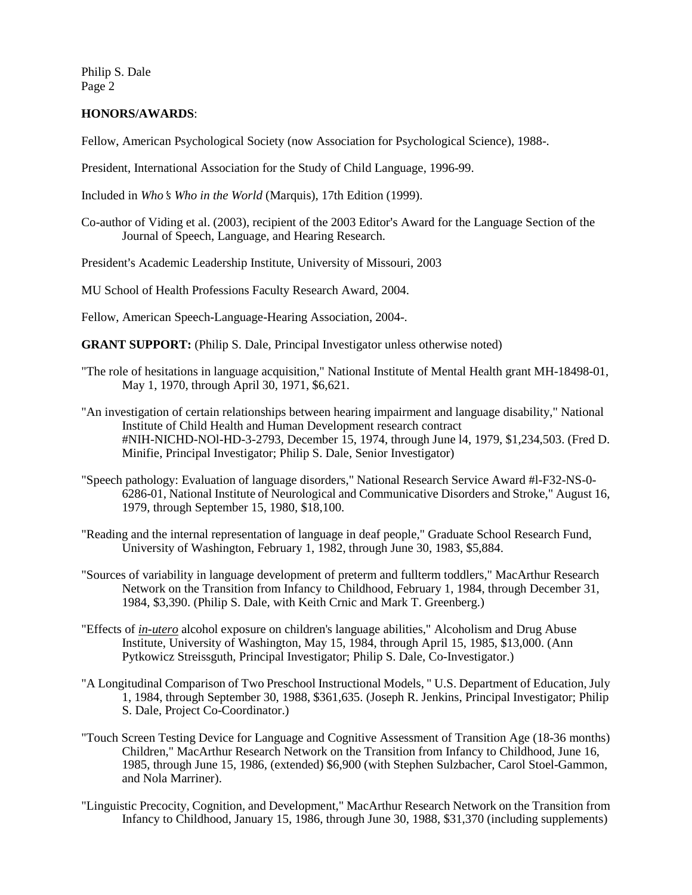## **HONORS/AWARDS**:

Fellow, American Psychological Society (now Association for Psychological Science), 1988-.

President, International Association for the Study of Child Language, 1996-99.

Included in *Who*=*s Who in the World* (Marquis), 17th Edition (1999).

Co-author of Viding et al. (2003), recipient of the 2003 Editor's Award for the Language Section of the Journal of Speech, Language, and Hearing Research.

President's Academic Leadership Institute, University of Missouri, 2003

MU School of Health Professions Faculty Research Award, 2004.

Fellow, American Speech-Language-Hearing Association, 2004-.

**GRANT SUPPORT:** (Philip S. Dale, Principal Investigator unless otherwise noted)

- "The role of hesitations in language acquisition," National Institute of Mental Health grant MH-18498-01, May 1, 1970, through April 30, 1971, \$6,621.
- "An investigation of certain relationships between hearing impairment and language disability," National Institute of Child Health and Human Development research contract #NIH-NICHD-NOl-HD-3-2793, December 15, 1974, through June l4, 1979, \$1,234,503. (Fred D. Minifie, Principal Investigator; Philip S. Dale, Senior Investigator)
- "Speech pathology: Evaluation of language disorders," National Research Service Award #l-F32-NS-0- 6286-01, National Institute of Neurological and Communicative Disorders and Stroke," August 16, 1979, through September 15, 1980, \$18,100.
- "Reading and the internal representation of language in deaf people," Graduate School Research Fund, University of Washington, February 1, 1982, through June 30, 1983, \$5,884.
- "Sources of variability in language development of preterm and fullterm toddlers," MacArthur Research Network on the Transition from Infancy to Childhood, February 1, 1984, through December 31, 1984, \$3,390. (Philip S. Dale, with Keith Crnic and Mark T. Greenberg.)
- "Effects of *in-utero* alcohol exposure on children's language abilities," Alcoholism and Drug Abuse Institute, University of Washington, May 15, 1984, through April 15, 1985, \$13,000. (Ann Pytkowicz Streissguth, Principal Investigator; Philip S. Dale, Co-Investigator.)
- "A Longitudinal Comparison of Two Preschool Instructional Models, " U.S. Department of Education, July 1, 1984, through September 30, 1988, \$361,635. (Joseph R. Jenkins, Principal Investigator; Philip S. Dale, Project Co-Coordinator.)
- "Touch Screen Testing Device for Language and Cognitive Assessment of Transition Age (18-36 months) Children," MacArthur Research Network on the Transition from Infancy to Childhood, June 16, 1985, through June 15, 1986, (extended) \$6,900 (with Stephen Sulzbacher, Carol Stoel-Gammon, and Nola Marriner).
- "Linguistic Precocity, Cognition, and Development," MacArthur Research Network on the Transition from Infancy to Childhood, January 15, 1986, through June 30, 1988, \$31,370 (including supplements)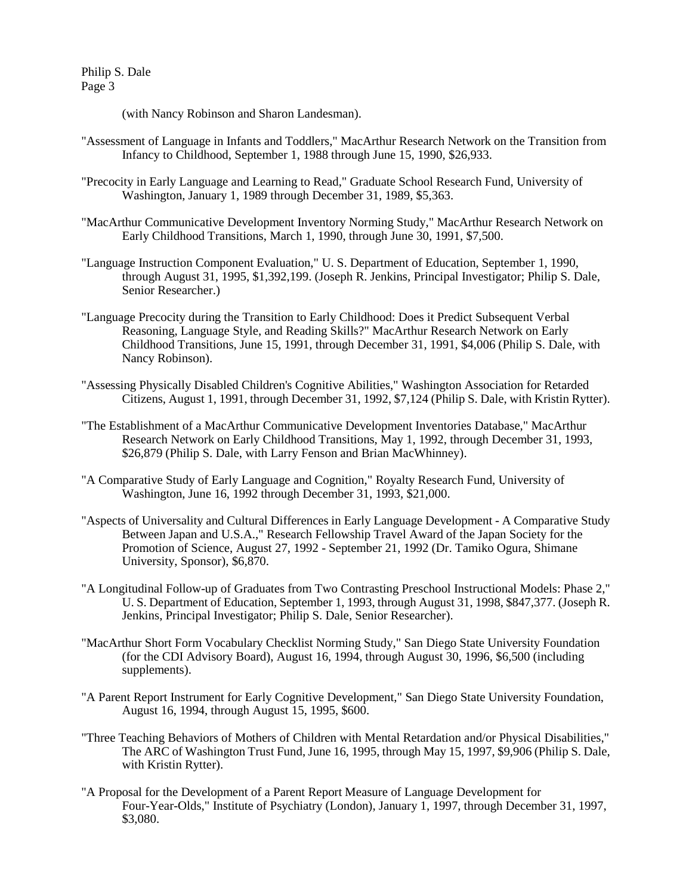(with Nancy Robinson and Sharon Landesman).

- "Assessment of Language in Infants and Toddlers," MacArthur Research Network on the Transition from Infancy to Childhood, September 1, 1988 through June 15, 1990, \$26,933.
- "Precocity in Early Language and Learning to Read," Graduate School Research Fund, University of Washington, January 1, 1989 through December 31, 1989, \$5,363.
- "MacArthur Communicative Development Inventory Norming Study," MacArthur Research Network on Early Childhood Transitions, March 1, 1990, through June 30, 1991, \$7,500.
- "Language Instruction Component Evaluation," U. S. Department of Education, September 1, 1990, through August 31, 1995, \$1,392,199. (Joseph R. Jenkins, Principal Investigator; Philip S. Dale, Senior Researcher.)
- "Language Precocity during the Transition to Early Childhood: Does it Predict Subsequent Verbal Reasoning, Language Style, and Reading Skills?" MacArthur Research Network on Early Childhood Transitions, June 15, 1991, through December 31, 1991, \$4,006 (Philip S. Dale, with Nancy Robinson).
- "Assessing Physically Disabled Children's Cognitive Abilities," Washington Association for Retarded Citizens, August 1, 1991, through December 31, 1992, \$7,124 (Philip S. Dale, with Kristin Rytter).
- "The Establishment of a MacArthur Communicative Development Inventories Database," MacArthur Research Network on Early Childhood Transitions, May 1, 1992, through December 31, 1993, \$26,879 (Philip S. Dale, with Larry Fenson and Brian MacWhinney).
- "A Comparative Study of Early Language and Cognition," Royalty Research Fund, University of Washington, June 16, 1992 through December 31, 1993, \$21,000.
- "Aspects of Universality and Cultural Differences in Early Language Development A Comparative Study Between Japan and U.S.A.," Research Fellowship Travel Award of the Japan Society for the Promotion of Science, August 27, 1992 - September 21, 1992 (Dr. Tamiko Ogura, Shimane University, Sponsor), \$6,870.
- "A Longitudinal Follow-up of Graduates from Two Contrasting Preschool Instructional Models: Phase 2," U. S. Department of Education, September 1, 1993, through August 31, 1998, \$847,377. (Joseph R. Jenkins, Principal Investigator; Philip S. Dale, Senior Researcher).
- "MacArthur Short Form Vocabulary Checklist Norming Study," San Diego State University Foundation (for the CDI Advisory Board), August 16, 1994, through August 30, 1996, \$6,500 (including supplements).
- "A Parent Report Instrument for Early Cognitive Development," San Diego State University Foundation, August 16, 1994, through August 15, 1995, \$600.
- "Three Teaching Behaviors of Mothers of Children with Mental Retardation and/or Physical Disabilities," The ARC of Washington Trust Fund, June 16, 1995, through May 15, 1997, \$9,906 (Philip S. Dale, with Kristin Rytter).
- "A Proposal for the Development of a Parent Report Measure of Language Development for Four-Year-Olds," Institute of Psychiatry (London), January 1, 1997, through December 31, 1997, \$3,080.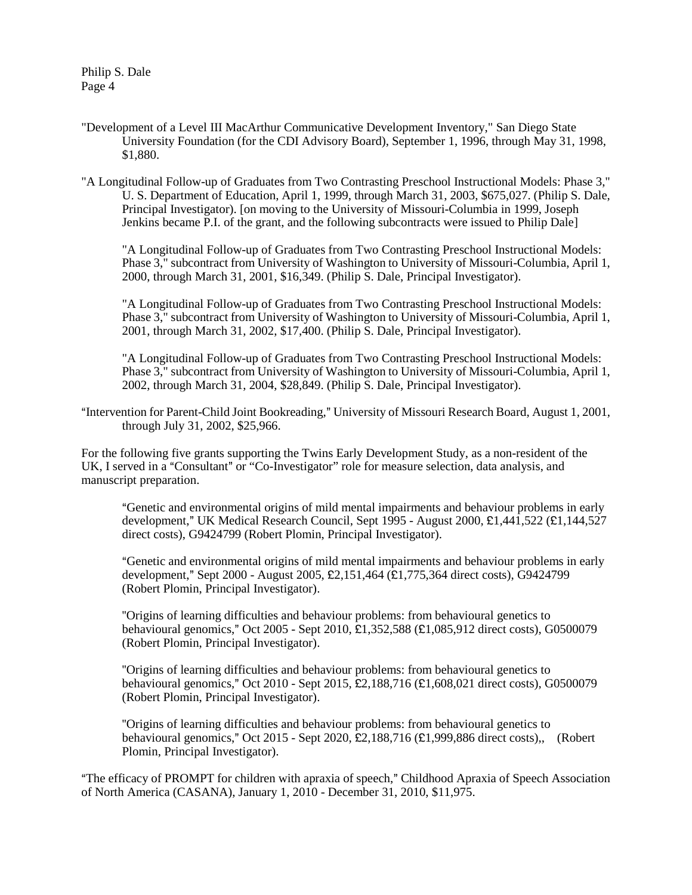- "Development of a Level III MacArthur Communicative Development Inventory," San Diego State University Foundation (for the CDI Advisory Board), September 1, 1996, through May 31, 1998, \$1,880.
- "A Longitudinal Follow-up of Graduates from Two Contrasting Preschool Instructional Models: Phase 3," U. S. Department of Education, April 1, 1999, through March 31, 2003, \$675,027. (Philip S. Dale, Principal Investigator). [on moving to the University of Missouri-Columbia in 1999, Joseph Jenkins became P.I. of the grant, and the following subcontracts were issued to Philip Dale]

"A Longitudinal Follow-up of Graduates from Two Contrasting Preschool Instructional Models: Phase 3," subcontract from University of Washington to University of Missouri-Columbia, April 1, 2000, through March 31, 2001, \$16,349. (Philip S. Dale, Principal Investigator).

"A Longitudinal Follow-up of Graduates from Two Contrasting Preschool Instructional Models: Phase 3," subcontract from University of Washington to University of Missouri-Columbia, April 1, 2001, through March 31, 2002, \$17,400. (Philip S. Dale, Principal Investigator).

"A Longitudinal Follow-up of Graduates from Two Contrasting Preschool Instructional Models: Phase 3," subcontract from University of Washington to University of Missouri-Columbia, April 1, 2002, through March 31, 2004, \$28,849. (Philip S. Dale, Principal Investigator).

"Intervention for Parent-Child Joint Bookreading," University of Missouri Research Board, August 1, 2001, through July 31, 2002, \$25,966.

For the following five grants supporting the Twins Early Development Study, as a non-resident of the UK, I served in a "Consultant" or "Co-Investigator" role for measure selection, data analysis, and manuscript preparation.

AGenetic and environmental origins of mild mental impairments and behaviour problems in early development," UK Medical Research Council, Sept 1995 - August 2000,  $\text{\pounds}1,441,522$  ( $\text{\pounds}1,144,527$ direct costs), G9424799 (Robert Plomin, Principal Investigator).

"Genetic and environmental origins of mild mental impairments and behaviour problems in early development," Sept 2000 - August 2005,  $E2,151,464$  ( $E1,775,364$  direct costs), G9424799 (Robert Plomin, Principal Investigator).

''Origins of learning difficulties and behaviour problems: from behavioural genetics to behavioural genomics," Oct 2005 - Sept 2010,  $\hat{\mathbf{E}}$ 1,352,588 ( $\hat{\mathbf{E}}$ 1,085,912 direct costs), G0500079 (Robert Plomin, Principal Investigator).

''Origins of learning difficulties and behaviour problems: from behavioural genetics to behavioural genomics," Oct 2010 - Sept 2015, £2,188,716 (£1,608,021 direct costs), G0500079 (Robert Plomin, Principal Investigator).

''Origins of learning difficulties and behaviour problems: from behavioural genetics to behavioural genomics," Oct 2015 - Sept 2020,  $\text{\pounds}2,188,716 \text{ } (\text{\pounds}1,999,886 \text{ direct costs}),$  (Robert Plomin, Principal Investigator).

"The efficacy of PROMPT for children with apraxia of speech," Childhood Apraxia of Speech Association of North America (CASANA), January 1, 2010 - December 31, 2010, \$11,975.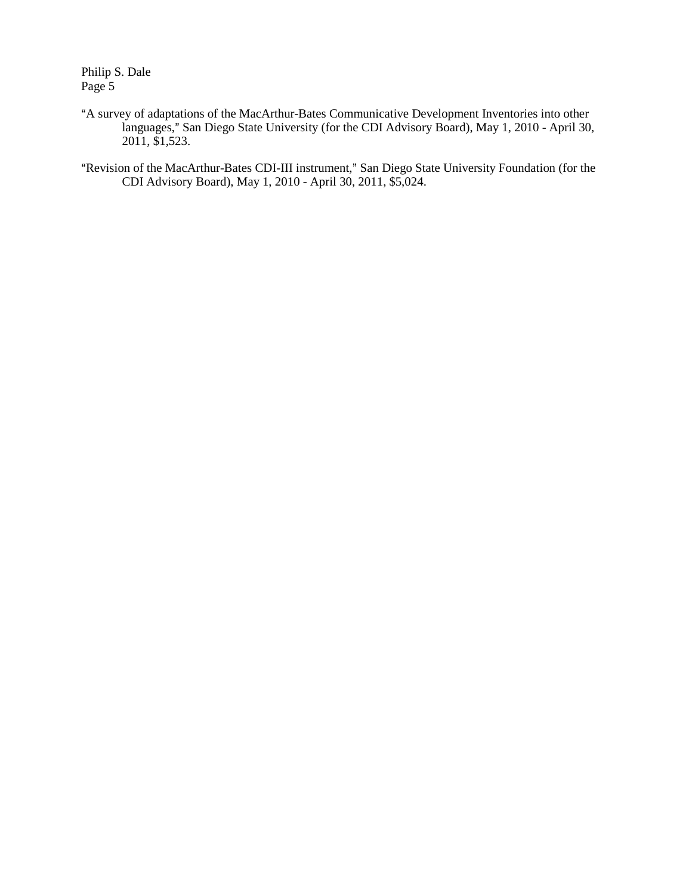- "A survey of adaptations of the MacArthur-Bates Communicative Development Inventories into other languages," San Diego State University (for the CDI Advisory Board), May 1, 2010 - April 30, 2011, \$1,523.
- "Revision of the MacArthur-Bates CDI-III instrument," San Diego State University Foundation (for the CDI Advisory Board), May 1, 2010 - April 30, 2011, \$5,024.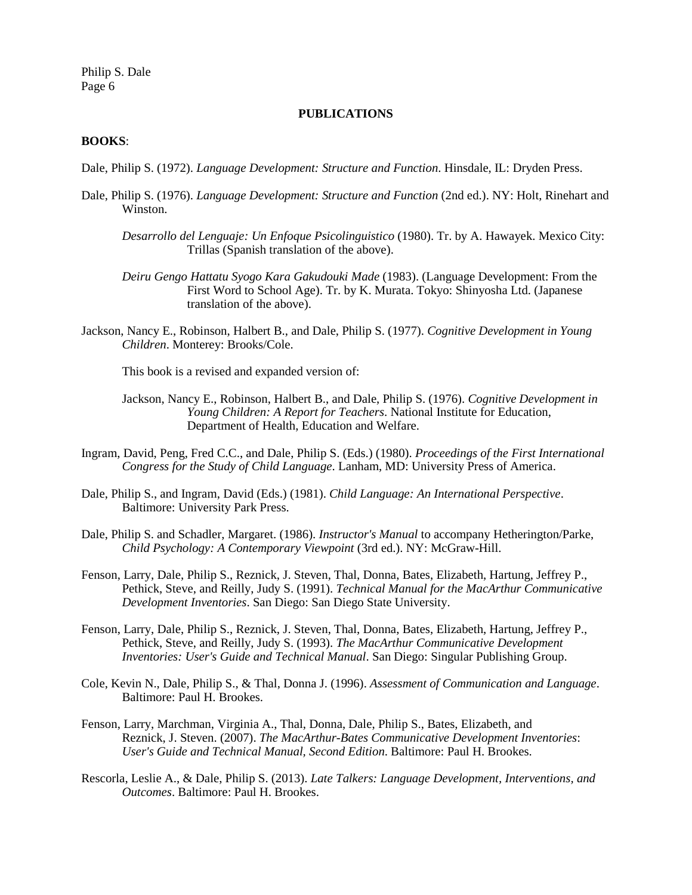### **PUBLICATIONS**

### **BOOKS**:

- Dale, Philip S. (1972). *Language Development: Structure and Function*. Hinsdale, IL: Dryden Press.
- Dale, Philip S. (1976). *Language Development: Structure and Function* (2nd ed.). NY: Holt, Rinehart and Winston.
	- *Desarrollo del Lenguaje: Un Enfoque Psicolinguistico* (1980). Tr. by A. Hawayek. Mexico City: Trillas (Spanish translation of the above).
	- *Deiru Gengo Hattatu Syogo Kara Gakudouki Made* (1983). (Language Development: From the First Word to School Age). Tr. by K. Murata. Tokyo: Shinyosha Ltd. (Japanese translation of the above).
- Jackson, Nancy E., Robinson, Halbert B., and Dale, Philip S. (1977). *Cognitive Development in Young Children*. Monterey: Brooks/Cole.

This book is a revised and expanded version of:

- Jackson, Nancy E., Robinson, Halbert B., and Dale, Philip S. (1976). *Cognitive Development in Young Children: A Report for Teachers*. National Institute for Education, Department of Health, Education and Welfare.
- Ingram, David, Peng, Fred C.C., and Dale, Philip S. (Eds.) (1980). *Proceedings of the First International Congress for the Study of Child Language*. Lanham, MD: University Press of America.
- Dale, Philip S., and Ingram, David (Eds.) (1981). *Child Language: An International Perspective*. Baltimore: University Park Press.
- Dale, Philip S. and Schadler, Margaret. (1986). *Instructor's Manual* to accompany Hetherington/Parke, *Child Psychology: A Contemporary Viewpoint* (3rd ed.). NY: McGraw-Hill.
- Fenson, Larry, Dale, Philip S., Reznick, J. Steven, Thal, Donna, Bates, Elizabeth, Hartung, Jeffrey P., Pethick, Steve, and Reilly, Judy S. (1991). *Technical Manual for the MacArthur Communicative Development Inventories*. San Diego: San Diego State University.
- Fenson, Larry, Dale, Philip S., Reznick, J. Steven, Thal, Donna, Bates, Elizabeth, Hartung, Jeffrey P., Pethick, Steve, and Reilly, Judy S. (1993). *The MacArthur Communicative Development Inventories: User's Guide and Technical Manual*. San Diego: Singular Publishing Group.
- Cole, Kevin N., Dale, Philip S., & Thal, Donna J. (1996). *Assessment of Communication and Language*. Baltimore: Paul H. Brookes.
- Fenson, Larry, Marchman, Virginia A., Thal, Donna, Dale, Philip S., Bates, Elizabeth, and Reznick, J. Steven. (2007). *The MacArthur-Bates Communicative Development Inventories*: *User's Guide and Technical Manual, Second Edition*. Baltimore: Paul H. Brookes.
- Rescorla, Leslie A., & Dale, Philip S. (2013). *Late Talkers: Language Development, Interventions, and Outcomes*. Baltimore: Paul H. Brookes.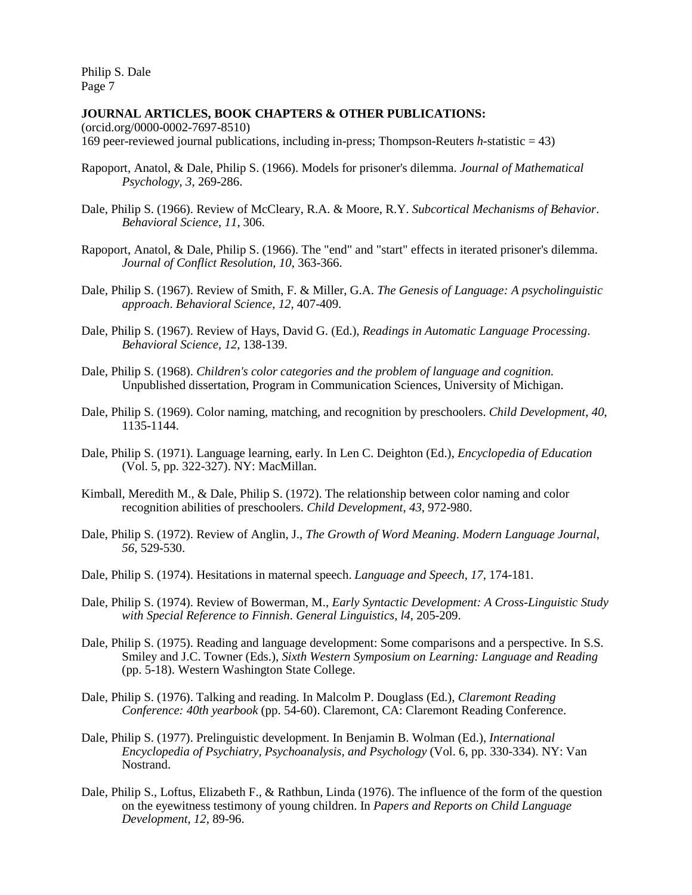### **JOURNAL ARTICLES, BOOK CHAPTERS & OTHER PUBLICATIONS:**

(orcid.org/0000-0002-7697-8510) 169 peer-reviewed journal publications, including in-press; Thompson-Reuters *h*-statistic = 43)

- Rapoport, Anatol, & Dale, Philip S. (1966). Models for prisoner's dilemma. *Journal of Mathematical Psychology*, *3*, 269-286.
- Dale, Philip S. (1966). Review of McCleary, R.A. & Moore, R.Y. *Subcortical Mechanisms of Behavior*. *Behavioral Science*, *11*, 306.
- Rapoport, Anatol, & Dale, Philip S. (1966). The "end" and "start" effects in iterated prisoner's dilemma. *Journal of Conflict Resolution*, *10*, 363-366.
- Dale, Philip S. (1967). Review of Smith, F. & Miller, G.A. *The Genesis of Language: A psycholinguistic approach*. *Behavioral Science*, *12*, 407-409.
- Dale, Philip S. (1967). Review of Hays, David G. (Ed.), *Readings in Automatic Language Processing*. *Behavioral Science*, *12*, 138-139.
- Dale, Philip S. (1968). *Children's color categories and the problem of language and cognition.* Unpublished dissertation, Program in Communication Sciences, University of Michigan.
- Dale, Philip S. (1969). Color naming, matching, and recognition by preschoolers. *Child Development*, *40*, 1135-1144.
- Dale, Philip S. (1971). Language learning, early. In Len C. Deighton (Ed.), *Encyclopedia of Education* (Vol. 5, pp. 322-327). NY: MacMillan.
- Kimball, Meredith M., & Dale, Philip S. (1972). The relationship between color naming and color recognition abilities of preschoolers. *Child Development*, *43*, 972-980.
- Dale, Philip S. (1972). Review of Anglin, J., *The Growth of Word Meaning*. *Modern Language Journal*, *56*, 529-530.
- Dale, Philip S. (1974). Hesitations in maternal speech. *Language and Speech*, *17*, 174-181.
- Dale, Philip S. (1974). Review of Bowerman, M., *Early Syntactic Development: A Cross-Linguistic Study with Special Reference to Finnish*. *General Linguistics*, *l4*, 205-209.
- Dale, Philip S. (1975). Reading and language development: Some comparisons and a perspective. In S.S. Smiley and J.C. Towner (Eds.), *Sixth Western Symposium on Learning: Language and Reading* (pp. 5-18). Western Washington State College.
- Dale, Philip S. (1976). Talking and reading. In Malcolm P. Douglass (Ed.), *Claremont Reading Conference: 40th yearbook* (pp. 54-60). Claremont, CA: Claremont Reading Conference.
- Dale, Philip S. (1977). Prelinguistic development. In Benjamin B. Wolman (Ed.), *International Encyclopedia of Psychiatry, Psychoanalysis, and Psychology* (Vol. 6, pp. 330-334). NY: Van Nostrand.
- Dale, Philip S., Loftus, Elizabeth F., & Rathbun, Linda (1976). The influence of the form of the question on the eyewitness testimony of young children. In *Papers and Reports on Child Language Development*, *12*, 89-96.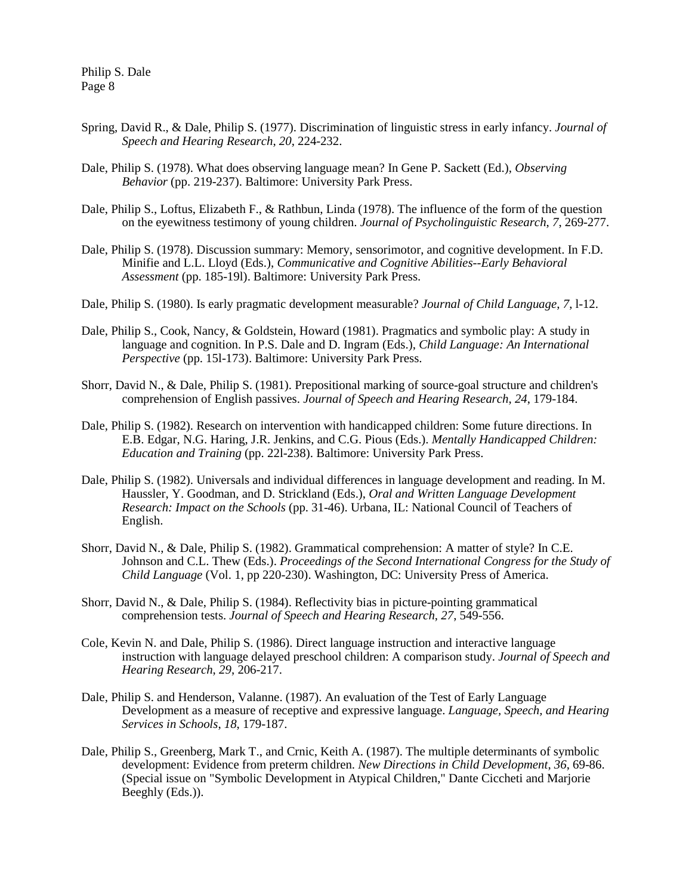- Spring, David R., & Dale, Philip S. (1977). Discrimination of linguistic stress in early infancy. *Journal of Speech and Hearing Research*, *20*, 224-232.
- Dale, Philip S. (1978). What does observing language mean? In Gene P. Sackett (Ed.), *Observing Behavior* (pp. 219-237). Baltimore: University Park Press.
- Dale, Philip S., Loftus, Elizabeth F., & Rathbun, Linda (1978). The influence of the form of the question on the eyewitness testimony of young children. *Journal of Psycholinguistic Research*, *7*, 269-277.
- Dale, Philip S. (1978). Discussion summary: Memory, sensorimotor, and cognitive development. In F.D. Minifie and L.L. Lloyd (Eds.), *Communicative and Cognitive Abilities--Early Behavioral Assessment* (pp. 185-19l). Baltimore: University Park Press.
- Dale, Philip S. (1980). Is early pragmatic development measurable? *Journal of Child Language*, *7*, l-12.
- Dale, Philip S., Cook, Nancy, & Goldstein, Howard (1981). Pragmatics and symbolic play: A study in language and cognition. In P.S. Dale and D. Ingram (Eds.), *Child Language: An International Perspective* (pp. 15l-173). Baltimore: University Park Press.
- Shorr, David N., & Dale, Philip S. (1981). Prepositional marking of source-goal structure and children's comprehension of English passives. *Journal of Speech and Hearing Research*, *24*, 179-184.
- Dale, Philip S. (1982). Research on intervention with handicapped children: Some future directions. In E.B. Edgar, N.G. Haring, J.R. Jenkins, and C.G. Pious (Eds.). *Mentally Handicapped Children: Education and Training* (pp. 22l-238). Baltimore: University Park Press.
- Dale, Philip S. (1982). Universals and individual differences in language development and reading. In M. Haussler, Y. Goodman, and D. Strickland (Eds.), *Oral and Written Language Development Research: Impact on the Schools* (pp. 31-46). Urbana, IL: National Council of Teachers of English.
- Shorr, David N., & Dale, Philip S. (1982). Grammatical comprehension: A matter of style? In C.E. Johnson and C.L. Thew (Eds.). *Proceedings of the Second International Congress for the Study of Child Language* (Vol. 1, pp 220-230). Washington, DC: University Press of America.
- Shorr, David N., & Dale, Philip S. (1984). Reflectivity bias in picture-pointing grammatical comprehension tests. *Journal of Speech and Hearing Research*, *27*, 549-556.
- Cole, Kevin N. and Dale, Philip S. (1986). Direct language instruction and interactive language instruction with language delayed preschool children: A comparison study. *Journal of Speech and Hearing Research*, *29*, 206-217.
- Dale, Philip S. and Henderson, Valanne. (1987). An evaluation of the Test of Early Language Development as a measure of receptive and expressive language. *Language, Speech, and Hearing Services in Schools*, *18*, 179-187.
- Dale, Philip S., Greenberg, Mark T., and Crnic, Keith A. (1987). The multiple determinants of symbolic development: Evidence from preterm children. *New Directions in Child Development*, *36*, 69-86. (Special issue on "Symbolic Development in Atypical Children," Dante Ciccheti and Marjorie Beeghly (Eds.)).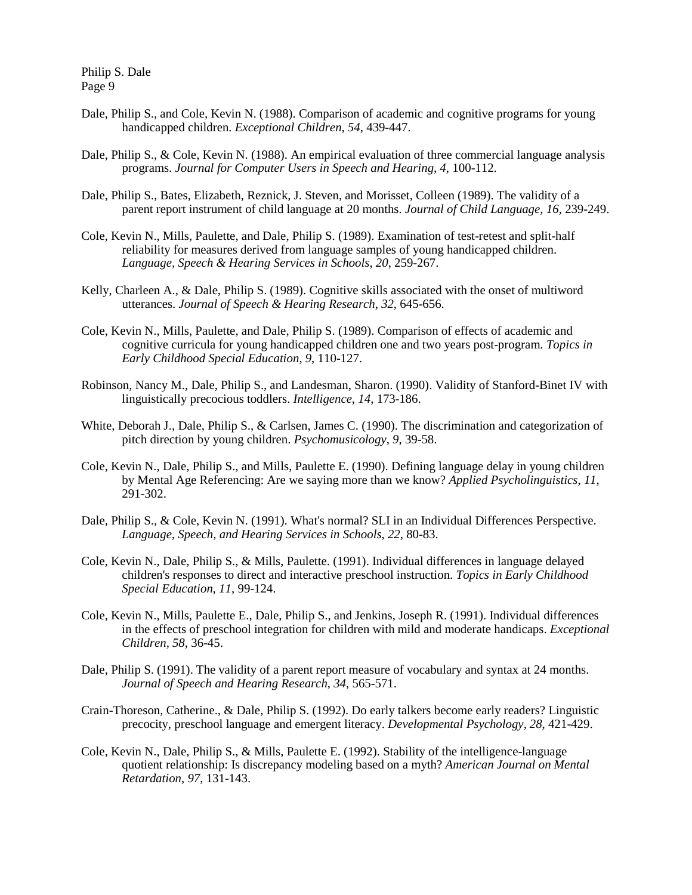- Dale, Philip S., and Cole, Kevin N. (1988). Comparison of academic and cognitive programs for young handicapped children. *Exceptional Children*, *54*, 439-447.
- Dale, Philip S., & Cole, Kevin N. (1988). An empirical evaluation of three commercial language analysis programs. *Journal for Computer Users in Speech and Hearing*, *4*, 100-112.
- Dale, Philip S., Bates, Elizabeth, Reznick, J. Steven, and Morisset, Colleen (1989). The validity of a parent report instrument of child language at 20 months. *Journal of Child Language*, *16*, 239-249.
- Cole, Kevin N., Mills, Paulette, and Dale, Philip S. (1989). Examination of test-retest and split-half reliability for measures derived from language samples of young handicapped children. *Language, Speech & Hearing Services in Schools*, *20*, 259-267.
- Kelly, Charleen A., & Dale, Philip S. (1989). Cognitive skills associated with the onset of multiword utterances. *Journal of Speech & Hearing Research*, *32*, 645-656.
- Cole, Kevin N., Mills, Paulette, and Dale, Philip S. (1989). Comparison of effects of academic and cognitive curricula for young handicapped children one and two years post-program. *Topics in Early Childhood Special Education*, *9*, 110-127.
- Robinson, Nancy M., Dale, Philip S., and Landesman, Sharon. (1990). Validity of Stanford-Binet IV with linguistically precocious toddlers. *Intelligence*, *14*, 173-186.
- White, Deborah J., Dale, Philip S., & Carlsen, James C. (1990). The discrimination and categorization of pitch direction by young children. *Psychomusicology*, *9*, 39-58.
- Cole, Kevin N., Dale, Philip S., and Mills, Paulette E. (1990). Defining language delay in young children by Mental Age Referencing: Are we saying more than we know? *Applied Psycholinguistics*, *11*, 291-302.
- Dale, Philip S., & Cole, Kevin N. (1991). What's normal? SLI in an Individual Differences Perspective. *Language, Speech, and Hearing Services in Schools*, *22*, 80-83.
- Cole, Kevin N., Dale, Philip S., & Mills, Paulette. (1991). Individual differences in language delayed children's responses to direct and interactive preschool instruction. *Topics in Early Childhood Special Education*, *11*, 99-124.
- Cole, Kevin N., Mills, Paulette E., Dale, Philip S., and Jenkins, Joseph R. (1991). Individual differences in the effects of preschool integration for children with mild and moderate handicaps. *Exceptional Children, 58*, 36-45.
- Dale, Philip S. (1991). The validity of a parent report measure of vocabulary and syntax at 24 months. *Journal of Speech and Hearing Research*, *34*, 565-571.
- Crain-Thoreson, Catherine., & Dale, Philip S. (1992). Do early talkers become early readers? Linguistic precocity, preschool language and emergent literacy. *Developmental Psychology*, *28*, 421-429.
- Cole, Kevin N., Dale, Philip S., & Mills, Paulette E. (1992). Stability of the intelligence-language quotient relationship: Is discrepancy modeling based on a myth? *American Journal on Mental Retardation*, *97*, 131-143.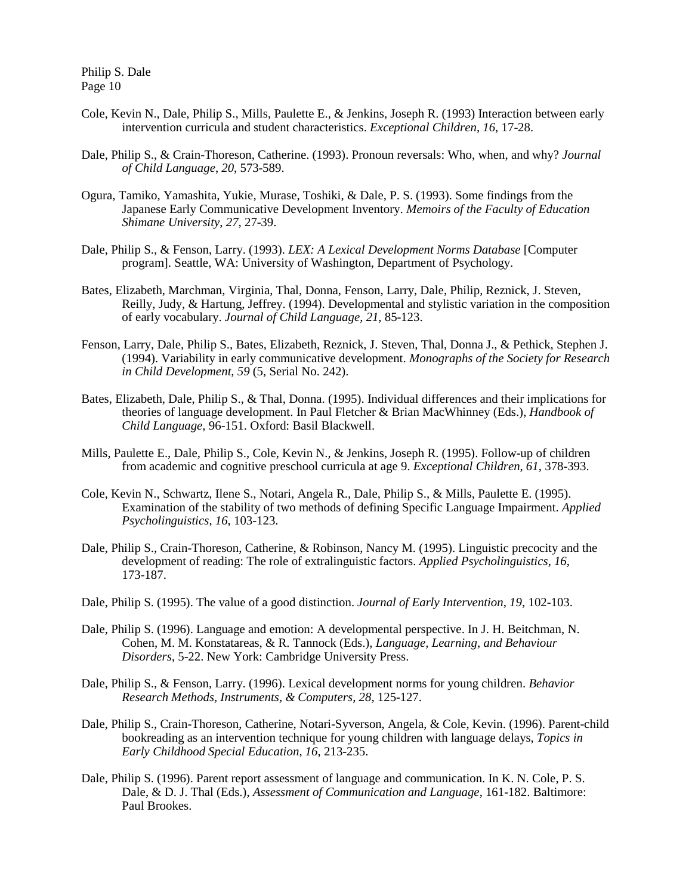- Cole, Kevin N., Dale, Philip S., Mills, Paulette E., & Jenkins, Joseph R. (1993) Interaction between early intervention curricula and student characteristics. *Exceptional Children*, *16*, 17-28.
- Dale, Philip S., & Crain-Thoreson, Catherine. (1993). Pronoun reversals: Who, when, and why? *Journal of Child Language*, *20*, 573-589.
- Ogura, Tamiko, Yamashita, Yukie, Murase, Toshiki, & Dale, P. S. (1993). Some findings from the Japanese Early Communicative Development Inventory. *Memoirs of the Faculty of Education Shimane University*, *27*, 27-39.
- Dale, Philip S., & Fenson, Larry. (1993). *LEX: A Lexical Development Norms Database* [Computer program]. Seattle, WA: University of Washington, Department of Psychology.
- Bates, Elizabeth, Marchman, Virginia, Thal, Donna, Fenson, Larry, Dale, Philip, Reznick, J. Steven, Reilly, Judy, & Hartung, Jeffrey. (1994). Developmental and stylistic variation in the composition of early vocabulary. *Journal of Child Language*, *21*, 85-123.
- Fenson, Larry, Dale, Philip S., Bates, Elizabeth, Reznick, J. Steven, Thal, Donna J., & Pethick, Stephen J. (1994). Variability in early communicative development. *Monographs of the Society for Research in Child Development*, *59* (5, Serial No. 242).
- Bates, Elizabeth, Dale, Philip S., & Thal, Donna. (1995). Individual differences and their implications for theories of language development. In Paul Fletcher & Brian MacWhinney (Eds.), *Handbook of Child Language*, 96-151. Oxford: Basil Blackwell.
- Mills, Paulette E., Dale, Philip S., Cole, Kevin N., & Jenkins, Joseph R. (1995). Follow-up of children from academic and cognitive preschool curricula at age 9. *Exceptional Children*, *61*, 378-393.
- Cole, Kevin N., Schwartz, Ilene S., Notari, Angela R., Dale, Philip S., & Mills, Paulette E. (1995). Examination of the stability of two methods of defining Specific Language Impairment. *Applied Psycholinguistics*, *16*, 103-123.
- Dale, Philip S., Crain-Thoreson, Catherine, & Robinson, Nancy M. (1995). Linguistic precocity and the development of reading: The role of extralinguistic factors. *Applied Psycholinguistics*, *16*, 173-187.
- Dale, Philip S. (1995). The value of a good distinction. *Journal of Early Intervention*, *19*, 102-103.
- Dale, Philip S. (1996). Language and emotion: A developmental perspective. In J. H. Beitchman, N. Cohen, M. M. Konstatareas, & R. Tannock (Eds.), *Language, Learning, and Behaviour Disorders*, 5-22. New York: Cambridge University Press.
- Dale, Philip S., & Fenson, Larry. (1996). Lexical development norms for young children. *Behavior Research Methods, Instruments, & Computers*, *28*, 125-127.
- Dale, Philip S., Crain-Thoreson, Catherine, Notari-Syverson, Angela, & Cole, Kevin. (1996). Parent-child bookreading as an intervention technique for young children with language delays, *Topics in Early Childhood Special Education*, *16*, 213-235.
- Dale, Philip S. (1996). Parent report assessment of language and communication. In K. N. Cole, P. S. Dale, & D. J. Thal (Eds.), *Assessment of Communication and Language*, 161-182. Baltimore: Paul Brookes.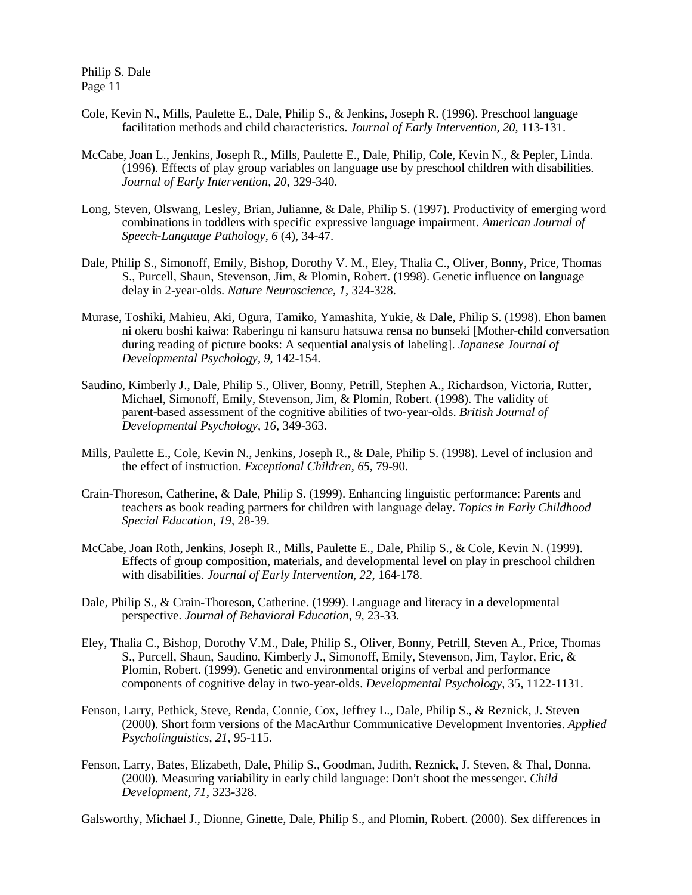- Cole, Kevin N., Mills, Paulette E., Dale, Philip S., & Jenkins, Joseph R. (1996). Preschool language facilitation methods and child characteristics. *Journal of Early Intervention*, *20*, 113-131.
- McCabe, Joan L., Jenkins, Joseph R., Mills, Paulette E., Dale, Philip, Cole, Kevin N., & Pepler, Linda. (1996). Effects of play group variables on language use by preschool children with disabilities. *Journal of Early Intervention*, *20*, 329-340.
- Long, Steven, Olswang, Lesley, Brian, Julianne, & Dale, Philip S. (1997). Productivity of emerging word combinations in toddlers with specific expressive language impairment. *American Journal of Speech-Language Pathology*, *6* (4), 34-47.
- Dale, Philip S., Simonoff, Emily, Bishop, Dorothy V. M., Eley, Thalia C., Oliver, Bonny, Price, Thomas S., Purcell, Shaun, Stevenson, Jim, & Plomin, Robert. (1998). Genetic influence on language delay in 2-year-olds. *Nature Neuroscience*, *1*, 324-328.
- Murase, Toshiki, Mahieu, Aki, Ogura, Tamiko, Yamashita, Yukie, & Dale, Philip S. (1998). Ehon bamen ni okeru boshi kaiwa: Raberingu ni kansuru hatsuwa rensa no bunseki [Mother-child conversation during reading of picture books: A sequential analysis of labeling]. *Japanese Journal of Developmental Psychology*, *9*, 142-154.
- Saudino, Kimberly J., Dale, Philip S., Oliver, Bonny, Petrill, Stephen A., Richardson, Victoria, Rutter, Michael, Simonoff, Emily, Stevenson, Jim, & Plomin, Robert. (1998). The validity of parent-based assessment of the cognitive abilities of two-year-olds. *British Journal of Developmental Psychology*, *16*, 349-363.
- Mills, Paulette E., Cole, Kevin N., Jenkins, Joseph R., & Dale, Philip S. (1998). Level of inclusion and the effect of instruction. *Exceptional Children*, *65*, 79-90.
- Crain-Thoreson, Catherine, & Dale, Philip S. (1999). Enhancing linguistic performance: Parents and teachers as book reading partners for children with language delay. *Topics in Early Childhood Special Education*, *19*, 28-39.
- McCabe, Joan Roth, Jenkins, Joseph R., Mills, Paulette E., Dale, Philip S., & Cole, Kevin N. (1999). Effects of group composition, materials, and developmental level on play in preschool children with disabilities. *Journal of Early Intervention*, *22*, 164-178.
- Dale, Philip S., & Crain-Thoreson, Catherine. (1999). Language and literacy in a developmental perspective. *Journal of Behavioral Education*, *9*, 23-33.
- Eley, Thalia C., Bishop, Dorothy V.M., Dale, Philip S., Oliver, Bonny, Petrill, Steven A., Price, Thomas S., Purcell, Shaun, Saudino, Kimberly J., Simonoff, Emily, Stevenson, Jim, Taylor, Eric, & Plomin, Robert. (1999). Genetic and environmental origins of verbal and performance components of cognitive delay in two-year-olds. *Developmental Psychology*, 35, 1122-1131.
- Fenson, Larry, Pethick, Steve, Renda, Connie, Cox, Jeffrey L., Dale, Philip S., & Reznick, J. Steven (2000). Short form versions of the MacArthur Communicative Development Inventories. *Applied Psycholinguistics*, *21*, 95-115.
- Fenson, Larry, Bates, Elizabeth, Dale, Philip S., Goodman, Judith, Reznick, J. Steven, & Thal, Donna. (2000). Measuring variability in early child language: Don't shoot the messenger. *Child Development*, *71*, 323-328.

Galsworthy, Michael J., Dionne, Ginette, Dale, Philip S., and Plomin, Robert. (2000). Sex differences in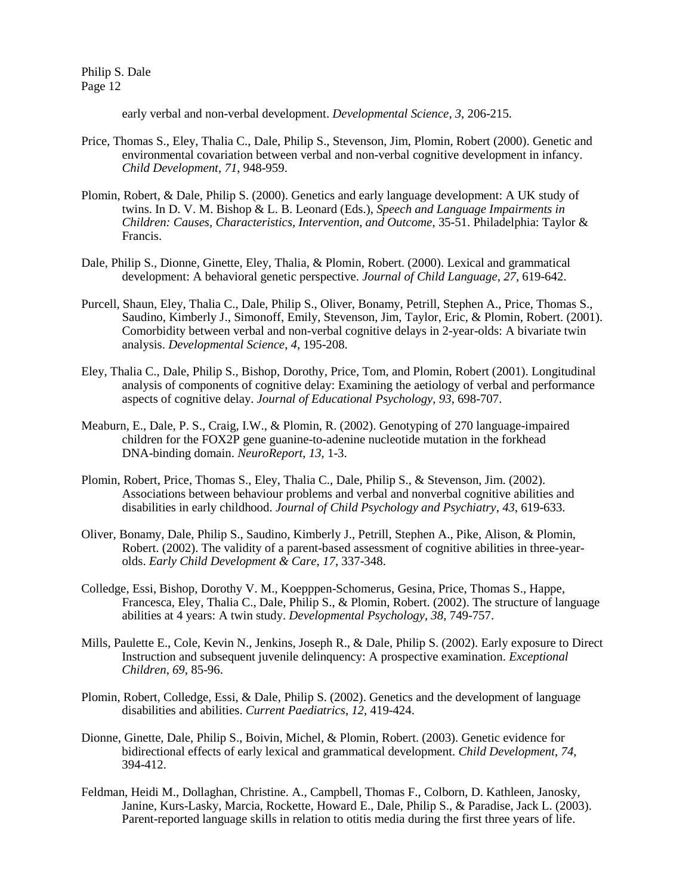early verbal and non-verbal development. *Developmental Science*, *3*, 206-215.

- Price, Thomas S., Eley, Thalia C., Dale, Philip S., Stevenson, Jim, Plomin, Robert (2000). Genetic and environmental covariation between verbal and non-verbal cognitive development in infancy. *Child Development*, *71*, 948-959.
- Plomin, Robert, & Dale, Philip S. (2000). Genetics and early language development: A UK study of twins. In D. V. M. Bishop & L. B. Leonard (Eds.), *Speech and Language Impairments in Children: Causes, Characteristics, Intervention, and Outcome*, 35-51. Philadelphia: Taylor & Francis.
- Dale, Philip S., Dionne, Ginette, Eley, Thalia, & Plomin, Robert. (2000). Lexical and grammatical development: A behavioral genetic perspective. *Journal of Child Language*, *27*, 619-642.
- Purcell, Shaun, Eley, Thalia C., Dale, Philip S., Oliver, Bonamy, Petrill, Stephen A., Price, Thomas S., Saudino, Kimberly J., Simonoff, Emily, Stevenson, Jim, Taylor, Eric, & Plomin, Robert. (2001). Comorbidity between verbal and non-verbal cognitive delays in 2-year-olds: A bivariate twin analysis. *Developmental Science*, *4*, 195-208.
- Eley, Thalia C., Dale, Philip S., Bishop, Dorothy, Price, Tom, and Plomin, Robert (2001). Longitudinal analysis of components of cognitive delay: Examining the aetiology of verbal and performance aspects of cognitive delay. *Journal of Educational Psychology*, *93*, 698-707.
- Meaburn, E., Dale, P. S., Craig, I.W., & Plomin, R. (2002). Genotyping of 270 language-impaired children for the FOX2P gene guanine-to-adenine nucleotide mutation in the forkhead DNA-binding domain. *NeuroReport*, *13*, 1-3.
- Plomin, Robert, Price, Thomas S., Eley, Thalia C., Dale, Philip S., & Stevenson, Jim. (2002). Associations between behaviour problems and verbal and nonverbal cognitive abilities and disabilities in early childhood. *Journal of Child Psychology and Psychiatry*, *43*, 619-633.
- Oliver, Bonamy, Dale, Philip S., Saudino, Kimberly J., Petrill, Stephen A., Pike, Alison, & Plomin, Robert. (2002). The validity of a parent-based assessment of cognitive abilities in three-yearolds. *Early Child Development & Care*, *17*, 337-348.
- Colledge, Essi, Bishop, Dorothy V. M., Koepppen-Schomerus, Gesina, Price, Thomas S., Happe, Francesca, Eley, Thalia C., Dale, Philip S., & Plomin, Robert. (2002). The structure of language abilities at 4 years: A twin study. *Developmental Psychology*, *38*, 749-757.
- Mills, Paulette E., Cole, Kevin N., Jenkins, Joseph R., & Dale, Philip S. (2002). Early exposure to Direct Instruction and subsequent juvenile delinquency: A prospective examination. *Exceptional Children*, *69*, 85-96.
- Plomin, Robert, Colledge, Essi, & Dale, Philip S. (2002). Genetics and the development of language disabilities and abilities. *Current Paediatrics*, *12*, 419-424.
- Dionne, Ginette, Dale, Philip S., Boivin, Michel, & Plomin, Robert. (2003). Genetic evidence for bidirectional effects of early lexical and grammatical development. *Child Development*, *74*, 394-412.
- Feldman, Heidi M., Dollaghan, Christine. A., Campbell, Thomas F., Colborn, D. Kathleen, Janosky, Janine, Kurs-Lasky, Marcia, Rockette, Howard E., Dale, Philip S., & Paradise, Jack L. (2003). Parent-reported language skills in relation to otitis media during the first three years of life.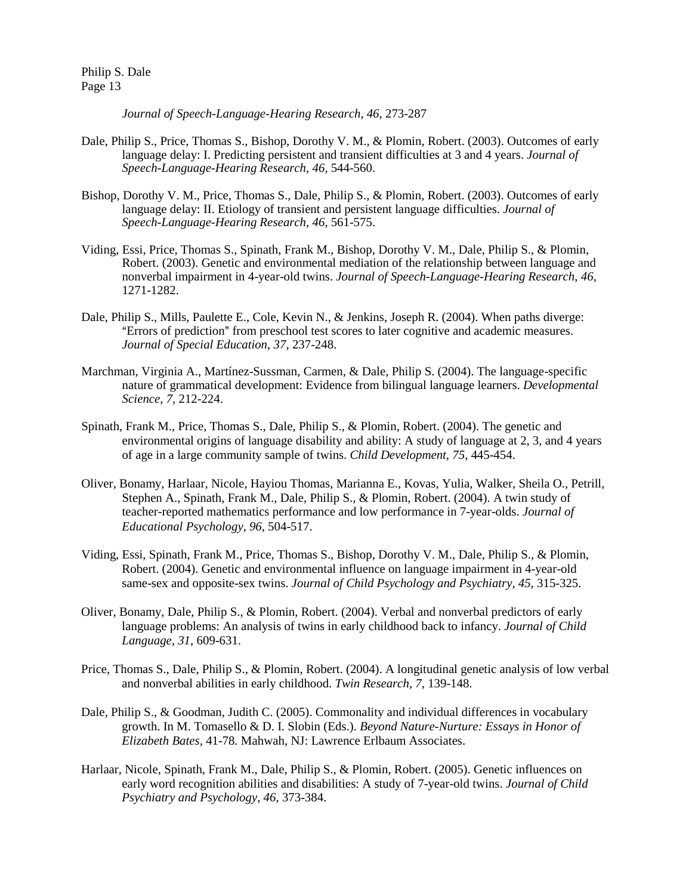*Journal of Speech-Language-Hearing Research*, *46*, 273-287

- Dale, Philip S., Price, Thomas S., Bishop, Dorothy V. M., & Plomin, Robert. (2003). Outcomes of early language delay: I. Predicting persistent and transient difficulties at 3 and 4 years. *Journal of Speech-Language-Hearing Research*, *46*, 544-560.
- Bishop, Dorothy V. M., Price, Thomas S., Dale, Philip S., & Plomin, Robert. (2003). Outcomes of early language delay: II. Etiology of transient and persistent language difficulties. *Journal of Speech-Language-Hearing Research*, *46*, 561-575.
- Viding, Essi, Price, Thomas S., Spinath, Frank M., Bishop, Dorothy V. M., Dale, Philip S., & Plomin, Robert. (2003). Genetic and environmental mediation of the relationship between language and nonverbal impairment in 4-year-old twins. *Journal of Speech-Language-Hearing Research*, *46*, 1271-1282.
- Dale, Philip S., Mills, Paulette E., Cole, Kevin N., & Jenkins, Joseph R. (2004). When paths diverge: "Errors of prediction" from preschool test scores to later cognitive and academic measures. *Journal of Special Education*, *37*, 237-248.
- Marchman, Virginia A., Martínez-Sussman, Carmen, & Dale, Philip S. (2004). The language-specific nature of grammatical development: Evidence from bilingual language learners. *Developmental Science*, *7*, 212-224.
- Spinath, Frank M., Price, Thomas S., Dale, Philip S., & Plomin, Robert. (2004). The genetic and environmental origins of language disability and ability: A study of language at 2, 3, and 4 years of age in a large community sample of twins. *Child Development*, *75*, 445-454.
- Oliver, Bonamy, Harlaar, Nicole, Hayiou Thomas, Marianna E., Kovas, Yulia, Walker, Sheila O., Petrill, Stephen A., Spinath, Frank M., Dale, Philip S., & Plomin, Robert. (2004). A twin study of teacher-reported mathematics performance and low performance in 7-year-olds. *Journal of Educational Psychology*, *96*, 504-517.
- Viding, Essi, Spinath, Frank M., Price, Thomas S., Bishop, Dorothy V. M., Dale, Philip S., & Plomin, Robert. (2004). Genetic and environmental influence on language impairment in 4-year-old same-sex and opposite-sex twins. *Journal of Child Psychology and Psychiatry*, *45*, 315-325.
- Oliver, Bonamy, Dale, Philip S., & Plomin, Robert. (2004). Verbal and nonverbal predictors of early language problems: An analysis of twins in early childhood back to infancy. *Journal of Child Language*, *31*, 609-631.
- Price, Thomas S., Dale, Philip S., & Plomin, Robert. (2004). A longitudinal genetic analysis of low verbal and nonverbal abilities in early childhood. *Twin Research*, *7*, 139-148.
- Dale, Philip S., & Goodman, Judith C. (2005). Commonality and individual differences in vocabulary growth. In M. Tomasello & D. I. Slobin (Eds.). *Beyond Nature-Nurture: Essays in Honor of Elizabeth Bates,* 41-78*.* Mahwah, NJ: Lawrence Erlbaum Associates.
- Harlaar, Nicole, Spinath, Frank M., Dale, Philip S., & Plomin, Robert. (2005). Genetic influences on early word recognition abilities and disabilities: A study of 7-year-old twins. *Journal of Child Psychiatry and Psychology*, *46*, 373-384.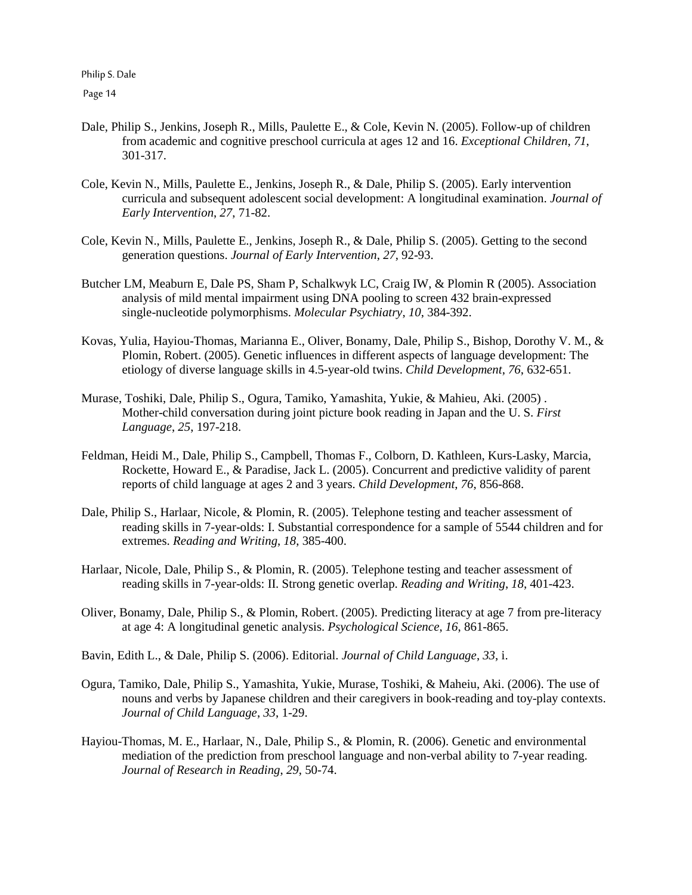- Dale, Philip S., Jenkins, Joseph R., Mills, Paulette E., & Cole, Kevin N. (2005). Follow-up of children from academic and cognitive preschool curricula at ages 12 and 16. *Exceptional Children*, *71*, 301-317.
- Cole, Kevin N., Mills, Paulette E., Jenkins, Joseph R., & Dale, Philip S. (2005). Early intervention curricula and subsequent adolescent social development: A longitudinal examination. *Journal of Early Intervention*, *27*, 71-82.
- Cole, Kevin N., Mills, Paulette E., Jenkins, Joseph R., & Dale, Philip S. (2005). Getting to the second generation questions. *Journal of Early Intervention*, *27*, 92-93.
- Butcher LM, Meaburn E, Dale PS, Sham P, Schalkwyk LC, Craig IW, & Plomin R (2005). Association analysis of mild mental impairment using DNA pooling to screen 432 brain-expressed single-nucleotide polymorphisms. *Molecular Psychiatry*, *10*, 384-392.
- Kovas, Yulia, Hayiou-Thomas, Marianna E., Oliver, Bonamy, Dale, Philip S., Bishop, Dorothy V. M., & Plomin, Robert. (2005). Genetic influences in different aspects of language development: The etiology of diverse language skills in 4.5-year-old twins. *Child Development*, *76*, 632-651.
- Murase, Toshiki, Dale, Philip S., Ogura, Tamiko, Yamashita, Yukie, & Mahieu, Aki. (2005) . Mother-child conversation during joint picture book reading in Japan and the U. S. *First Language*, *25*, 197-218.
- Feldman, Heidi M., Dale, Philip S., Campbell, Thomas F., Colborn, D. Kathleen, Kurs-Lasky, Marcia, Rockette, Howard E., & Paradise, Jack L. (2005). Concurrent and predictive validity of parent reports of child language at ages 2 and 3 years. *Child Development*, *76*, 856-868.
- Dale, Philip S., Harlaar, Nicole, & Plomin, R. (2005). Telephone testing and teacher assessment of reading skills in 7-year-olds: I. Substantial correspondence for a sample of 5544 children and for extremes. *Reading and Writing*, *18*, 385-400.
- Harlaar, Nicole, Dale, Philip S., & Plomin, R. (2005). Telephone testing and teacher assessment of reading skills in 7-year-olds: II. Strong genetic overlap. *Reading and Writing*, *18*, 401-423.
- Oliver, Bonamy, Dale, Philip S., & Plomin, Robert. (2005). Predicting literacy at age 7 from pre-literacy at age 4: A longitudinal genetic analysis. *Psychological Science*, *16*, 861-865.
- Bavin, Edith L., & Dale, Philip S. (2006). Editorial. *Journal of Child Language*, *33*, i.
- Ogura, Tamiko, Dale, Philip S., Yamashita, Yukie, Murase, Toshiki, & Maheiu, Aki. (2006). The use of nouns and verbs by Japanese children and their caregivers in book-reading and toy-play contexts. *Journal of Child Language*, *33*, 1-29.
- Hayiou-Thomas, M. E., Harlaar, N., Dale, Philip S., & Plomin, R. (2006). Genetic and environmental mediation of the prediction from preschool language and non-verbal ability to 7-year reading. *Journal of Research in Reading*, *29*, 50-74.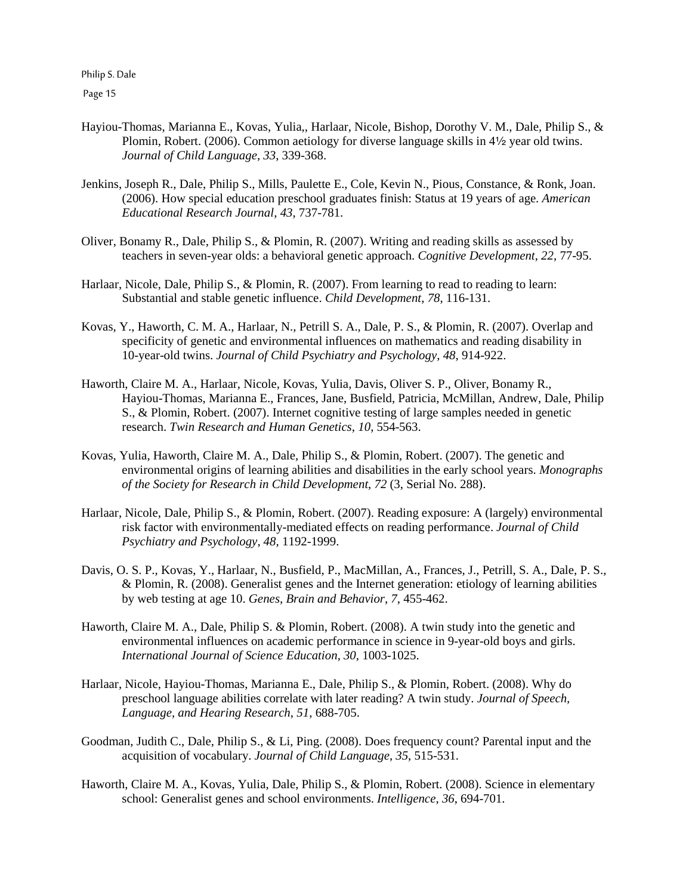Page 15

- Hayiou-Thomas, Marianna E., Kovas, Yulia,, Harlaar, Nicole, Bishop, Dorothy V. M., Dale, Philip S., & Plomin, Robert. (2006). Common aetiology for diverse language skills in  $4\frac{1}{2}$  year old twins. *Journal of Child Language*, *33*, 339-368.
- Jenkins, Joseph R., Dale, Philip S., Mills, Paulette E., Cole, Kevin N., Pious, Constance, & Ronk, Joan. (2006). How special education preschool graduates finish: Status at 19 years of age. *American Educational Research Journal*, *43*, 737-781.
- Oliver, Bonamy R., Dale, Philip S., & Plomin, R. (2007). Writing and reading skills as assessed by teachers in seven-year olds: a behavioral genetic approach. *Cognitive Development*, *22*, 77-95.
- Harlaar, Nicole, Dale, Philip S., & Plomin, R. (2007). From learning to read to reading to learn: Substantial and stable genetic influence. *Child Development*, *78*, 116-131.
- Kovas, Y., Haworth, C. M. A., Harlaar, N., Petrill S. A., Dale, P. S., & Plomin, R. (2007). Overlap and specificity of genetic and environmental influences on mathematics and reading disability in 10-year-old twins. *Journal of Child Psychiatry and Psychology*, *48*, 914-922.
- Haworth, Claire M. A., Harlaar, Nicole, Kovas, Yulia, Davis, Oliver S. P., Oliver, Bonamy R., Hayiou-Thomas, Marianna E., Frances, Jane, Busfield, Patricia, McMillan, Andrew, Dale, Philip S., & Plomin, Robert. (2007). Internet cognitive testing of large samples needed in genetic research. *Twin Research and Human Genetics*, *10*, 554-563.
- Kovas, Yulia, Haworth, Claire M. A., Dale, Philip S., & Plomin, Robert. (2007). The genetic and environmental origins of learning abilities and disabilities in the early school years. *Monographs of the Society for Research in Child Development*, *72* (3, Serial No. 288).
- Harlaar, Nicole, Dale, Philip S., & Plomin, Robert. (2007). Reading exposure: A (largely) environmental risk factor with environmentally-mediated effects on reading performance. *Journal of Child Psychiatry and Psychology*, *48*, 1192-1999.
- Davis, O. S. P., Kovas, Y., Harlaar, N., Busfield, P., MacMillan, A., Frances, J., Petrill, S. A., Dale, P. S., & Plomin, R. (2008). Generalist genes and the Internet generation: etiology of learning abilities by web testing at age 10. *Genes, Brain and Behavior*, *7*, 455-462.
- Haworth, Claire M. A., Dale, Philip S. & Plomin, Robert. (2008). A twin study into the genetic and environmental influences on academic performance in science in 9-year-old boys and girls. *International Journal of Science Education*, *30*, 1003-1025.
- Harlaar, Nicole, Hayiou-Thomas, Marianna E., Dale, Philip S., & Plomin, Robert. (2008). Why do preschool language abilities correlate with later reading? A twin study. *Journal of Speech, Language, and Hearing Research*, *51*, 688-705.
- Goodman, Judith C., Dale, Philip S., & Li, Ping. (2008). Does frequency count? Parental input and the acquisition of vocabulary. *Journal of Child Language*, *35*, 515-531.
- Haworth, Claire M. A., Kovas, Yulia, Dale, Philip S., & Plomin, Robert. (2008). Science in elementary school: Generalist genes and school environments. *Intelligence*, *36*, 694-701.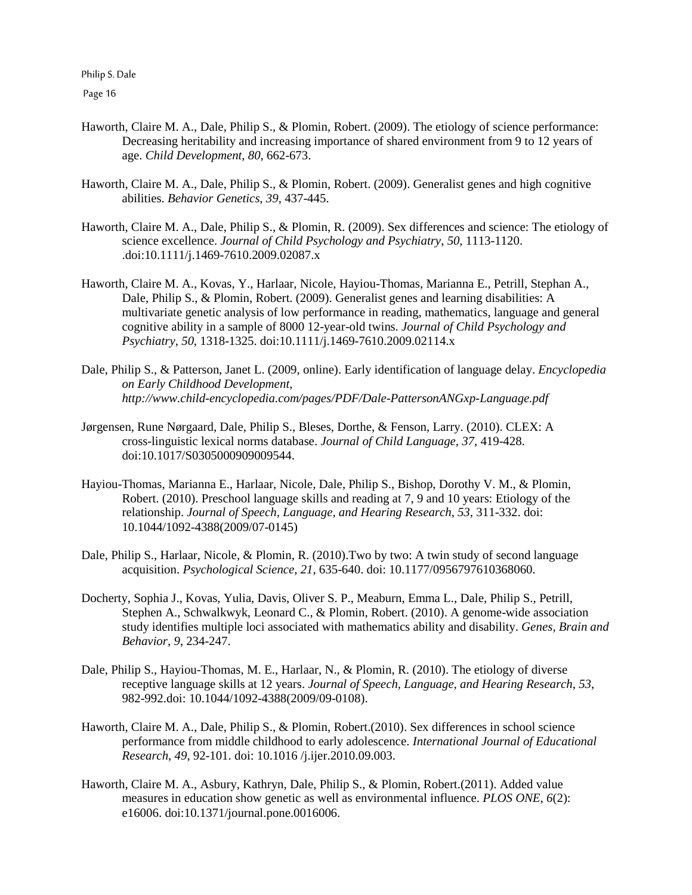Page 16

- Haworth, Claire M. A., Dale, Philip S., & Plomin, Robert. (2009). The etiology of science performance: Decreasing heritability and increasing importance of shared environment from 9 to 12 years of age. *Child Development*, *80*, 662-673.
- Haworth, Claire M. A., Dale, Philip S., & Plomin, Robert. (2009). Generalist genes and high cognitive abilities. *Behavior Genetics*, *39*, 437-445.
- Haworth, Claire M. A., Dale, Philip S., & Plomin, R. (2009). Sex differences and science: The etiology of science excellence. *Journal of Child Psychology and Psychiatry*, *50*, 1113-1120. .doi:10.1111/j.1469-7610.2009.02087.x
- Haworth, Claire M. A., Kovas, Y., Harlaar, Nicole, Hayiou-Thomas, Marianna E., Petrill, Stephan A., Dale, Philip S., & Plomin, Robert. (2009). Generalist genes and learning disabilities: A multivariate genetic analysis of low performance in reading, mathematics, language and general cognitive ability in a sample of 8000 12-year-old twins. *Journal of Child Psychology and Psychiatry*, *50*, 1318-1325. doi:10.1111/j.1469-7610.2009.02114.x
- Dale, Philip S., & Patterson, Janet L. (2009, online). Early identification of language delay. *Encyclopedia on Early Childhood Development*, *http://www.child-encyclopedia.com/pages/PDF/Dale-PattersonANGxp-Language.pdf*
- Jørgensen, Rune Nørgaard, Dale, Philip S., Bleses, Dorthe, & Fenson, Larry. (2010). CLEX: A cross-linguistic lexical norms database. *Journal of Child Language*, *37*, 419-428. doi:10.1017/S0305000909009544.
- Hayiou-Thomas, Marianna E., Harlaar, Nicole, Dale, Philip S., Bishop, Dorothy V. M., & Plomin, Robert. (2010). Preschool language skills and reading at 7, 9 and 10 years: Etiology of the relationship. *Journal of Speech, Language, and Hearing Research*, *53*, 311-332. doi: 10.1044/1092-4388(2009/07-0145)
- Dale, Philip S., Harlaar, Nicole, & Plomin, R. (2010).Two by two: A twin study of second language acquisition. *Psychological Science*, *21*, 635-640. doi: 10.1177/0956797610368060.
- Docherty, Sophia J., Kovas, Yulia, Davis, Oliver S. P., Meaburn, Emma L., Dale, Philip S., Petrill, Stephen A., Schwalkwyk, Leonard C., & Plomin, Robert. (2010). A genome-wide association study identifies multiple loci associated with mathematics ability and disability. *Genes, Brain and Behavior*, *9*, 234-247.
- Dale, Philip S., Hayiou-Thomas, M. E., Harlaar, N., & Plomin, R. (2010). The etiology of diverse receptive language skills at 12 years. *Journal of Speech, Language, and Hearing Research*, *53*, 982-992.doi: 10.1044/1092-4388(2009/09-0108).
- Haworth, Claire M. A., Dale, Philip S., & Plomin, Robert.(2010). Sex differences in school science performance from middle childhood to early adolescence. *International Journal of Educational Research*, *49*, 92-101. doi: 10.1016 /j.ijer.2010.09.003.
- Haworth, Claire M. A., Asbury, Kathryn, Dale, Philip S., & Plomin, Robert.(2011). Added value measures in education show genetic as well as environmental influence. *PLOS ONE*, *6*(2): e16006. doi:10.1371/journal.pone.0016006.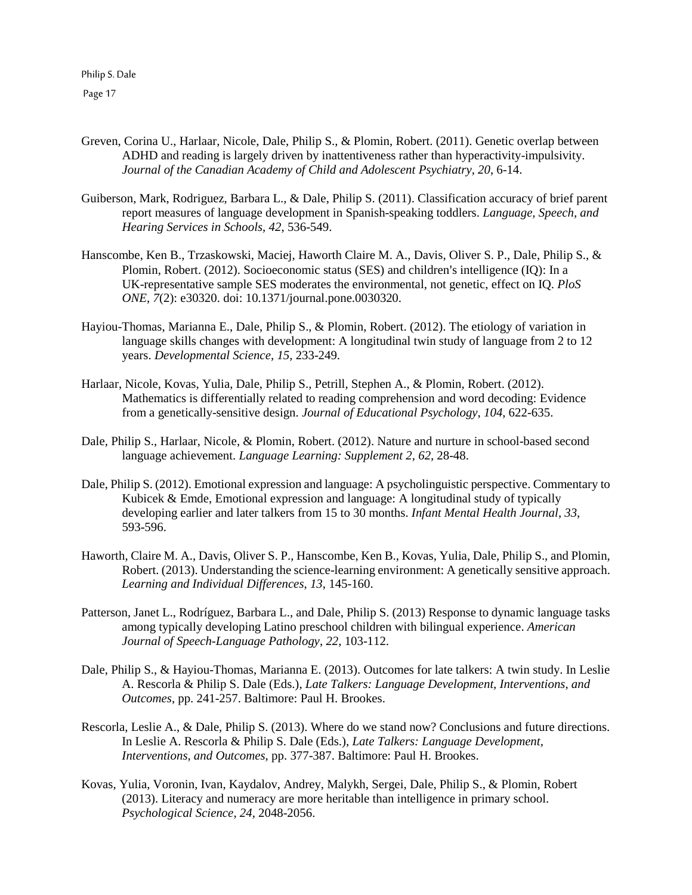Page 17

- Greven, Corina U., Harlaar, Nicole, Dale, Philip S., & Plomin, Robert. (2011). Genetic overlap between ADHD and reading is largely driven by inattentiveness rather than hyperactivity-impulsivity. *Journal of the Canadian Academy of Child and Adolescent Psychiatry*, *20*, 6-14.
- Guiberson, Mark, Rodriguez, Barbara L., & Dale, Philip S. (2011). Classification accuracy of brief parent report measures of language development in Spanish-speaking toddlers. *Language, Speech, and Hearing Services in Schools*, *42*, 536-549.
- Hanscombe, Ken B., Trzaskowski, Maciej, Haworth Claire M. A., Davis, Oliver S. P., Dale, Philip S., & Plomin, Robert. (2012). Socioeconomic status (SES) and children's intelligence (IQ): In a UK-representative sample SES moderates the environmental, not genetic, effect on IQ. *PloS ONE*, *7*(2): e30320. doi: 10.1371/journal.pone.0030320.
- Hayiou-Thomas, Marianna E., Dale, Philip S., & Plomin, Robert. (2012). The etiology of variation in language skills changes with development: A longitudinal twin study of language from 2 to 12 years. *Developmental Science*, *15*, 233-249.
- Harlaar, Nicole, Kovas, Yulia, Dale, Philip S., Petrill, Stephen A., & Plomin, Robert. (2012). Mathematics is differentially related to reading comprehension and word decoding: Evidence from a genetically-sensitive design. *Journal of Educational Psychology*, *104*, 622-635.
- Dale, Philip S., Harlaar, Nicole, & Plomin, Robert. (2012). Nature and nurture in school-based second language achievement. *Language Learning: Supplement 2*, *62*, 28-48.
- Dale, Philip S. (2012). Emotional expression and language: A psycholinguistic perspective. Commentary to Kubicek & Emde, Emotional expression and language: A longitudinal study of typically developing earlier and later talkers from 15 to 30 months. *Infant Mental Health Journal*, *33*, 593-596.
- Haworth, Claire M. A., Davis, Oliver S. P., Hanscombe, Ken B., Kovas, Yulia, Dale, Philip S., and Plomin, Robert. (2013). Understanding the science-learning environment: A genetically sensitive approach. *Learning and Individual Differences*, *13*, 145-160.
- Patterson, Janet L., Rodríguez, Barbara L., and Dale, Philip S. (2013) Response to dynamic language tasks among typically developing Latino preschool children with bilingual experience. *American Journal of Speech-Language Pathology*, *22*, 103-112.
- Dale, Philip S., & Hayiou-Thomas, Marianna E. (2013). Outcomes for late talkers: A twin study. In Leslie A. Rescorla & Philip S. Dale (Eds.), *Late Talkers: Language Development, Interventions, and Outcomes*, pp. 241-257. Baltimore: Paul H. Brookes.
- Rescorla, Leslie A., & Dale, Philip S. (2013). Where do we stand now? Conclusions and future directions. In Leslie A. Rescorla & Philip S. Dale (Eds.), *Late Talkers: Language Development, Interventions, and Outcomes*, pp. 377-387. Baltimore: Paul H. Brookes.
- Kovas, Yulia, Voronin, Ivan, Kaydalov, Andrey, Malykh, Sergei, Dale, Philip S., & Plomin, Robert (2013). Literacy and numeracy are more heritable than intelligence in primary school. *Psychological Science*, *24*, 2048-2056.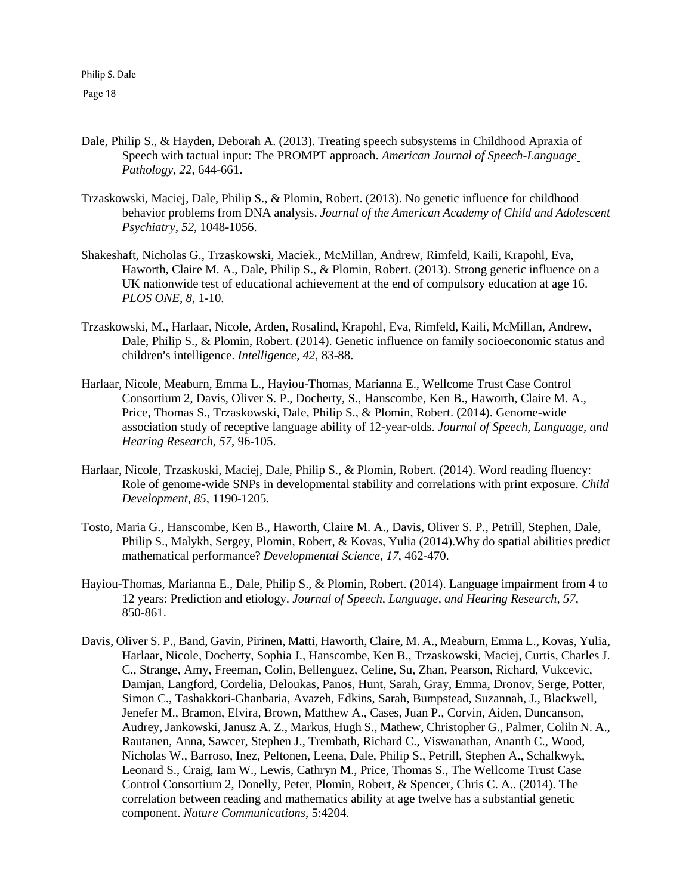- Dale, Philip S., & Hayden, Deborah A. (2013). Treating speech subsystems in Childhood Apraxia of Speech with tactual input: The PROMPT approach. *American Journal of Speech-Language Pathology*, *22*, 644-661.
- Trzaskowski, Maciej, Dale, Philip S., & Plomin, Robert. (2013). No genetic influence for childhood behavior problems from DNA analysis. *Journal of the American Academy of Child and Adolescent Psychiatry*, *52*, 1048-1056.
- Shakeshaft, Nicholas G., Trzaskowski, Maciek., McMillan, Andrew, Rimfeld, Kaili, Krapohl, Eva, Haworth, Claire M. A., Dale, Philip S., & Plomin, Robert. (2013). Strong genetic influence on a UK nationwide test of educational achievement at the end of compulsory education at age 16. *PLOS ONE*, *8*, 1-10.
- Trzaskowski, M., Harlaar, Nicole, Arden, Rosalind, Krapohl, Eva, Rimfeld, Kaili, McMillan, Andrew, Dale, Philip S., & Plomin, Robert. (2014). Genetic influence on family socioeconomic status and children's intelligence. *Intelligence*, 42, 83-88.
- Harlaar, Nicole, Meaburn, Emma L., Hayiou-Thomas, Marianna E., Wellcome Trust Case Control Consortium 2, Davis, Oliver S. P., Docherty, S., Hanscombe, Ken B., Haworth, Claire M. A., Price, Thomas S., Trzaskowski, Dale, Philip S., & Plomin, Robert. (2014). Genome-wide association study of receptive language ability of 12-year-olds. *Journal of Speech, Language, and Hearing Research*, *57*, 96-105.
- Harlaar, Nicole, Trzaskoski, Maciej, Dale, Philip S., & Plomin, Robert. (2014). Word reading fluency: Role of genome-wide SNPs in developmental stability and correlations with print exposure. *Child Development*, *85*, 1190-1205.
- Tosto, Maria G., Hanscombe, Ken B., Haworth, Claire M. A., Davis, Oliver S. P., Petrill, Stephen, Dale, Philip S., Malykh, Sergey, Plomin, Robert, & Kovas, Yulia (2014).Why do spatial abilities predict mathematical performance? *Developmental Science*, *17*, 462-470.
- Hayiou-Thomas, Marianna E., Dale, Philip S., & Plomin, Robert. (2014). Language impairment from 4 to 12 years: Prediction and etiology. *Journal of Speech, Language, and Hearing Research*, *57*, 850-861.
- Davis, Oliver S. P., Band, Gavin, Pirinen, Matti, Haworth, Claire, M. A., Meaburn, Emma L., Kovas, Yulia, Harlaar, Nicole, Docherty, Sophia J., Hanscombe, Ken B., Trzaskowski, Maciej, Curtis, Charles J. C., Strange, Amy, Freeman, Colin, Bellenguez, Celine, Su, Zhan, Pearson, Richard, Vukcevic, Damjan, Langford, Cordelia, Deloukas, Panos, Hunt, Sarah, Gray, Emma, Dronov, Serge, Potter, Simon C., Tashakkori-Ghanbaria, Avazeh, Edkins, Sarah, Bumpstead, Suzannah, J., Blackwell, Jenefer M., Bramon, Elvira, Brown, Matthew A., Cases, Juan P., Corvin, Aiden, Duncanson, Audrey, Jankowski, Janusz A. Z., Markus, Hugh S., Mathew, Christopher G., Palmer, Coliln N. A., Rautanen, Anna, Sawcer, Stephen J., Trembath, Richard C., Viswanathan, Ananth C., Wood, Nicholas W., Barroso, Inez, Peltonen, Leena, Dale, Philip S., Petrill, Stephen A., Schalkwyk, Leonard S., Craig, Iam W., Lewis, Cathryn M., Price, Thomas S., The Wellcome Trust Case Control Consortium 2, Donelly, Peter, Plomin, Robert, & Spencer, Chris C. A.. (2014). The correlation between reading and mathematics ability at age twelve has a substantial genetic component. *Nature Communications*, 5:4204.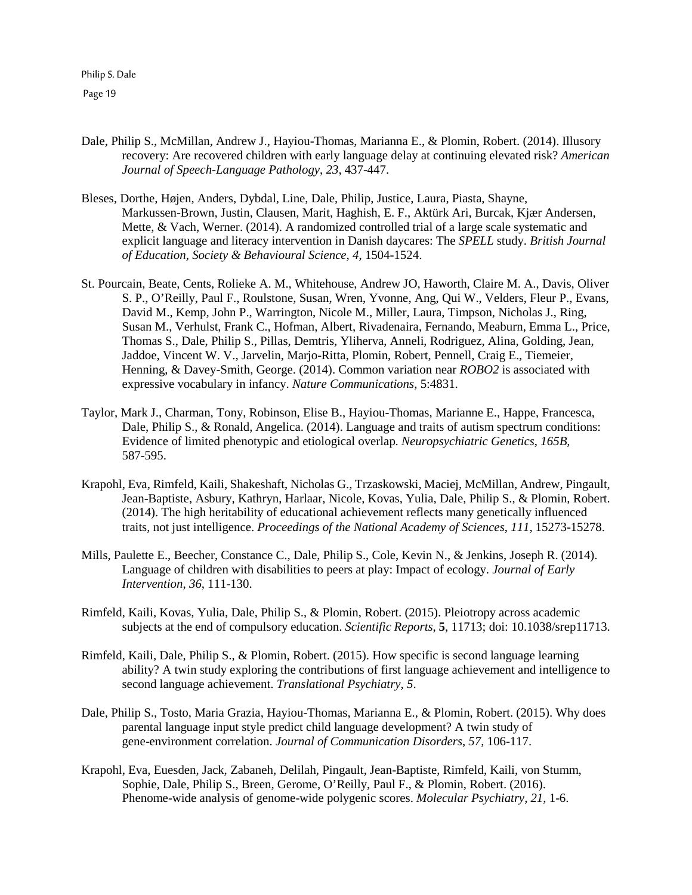- Dale, Philip S., McMillan, Andrew J., Hayiou-Thomas, Marianna E., & Plomin, Robert. (2014). Illusory recovery: Are recovered children with early language delay at continuing elevated risk? *American Journal of Speech-Language Pathology*, *23*, 437-447.
- Bleses, Dorthe, Højen, Anders, Dybdal, Line, Dale, Philip, Justice, Laura, Piasta, Shayne, Markussen-Brown, Justin, Clausen, Marit, Haghish, E. F., Aktürk Ari, Burcak, Kjær Andersen, Mette, & Vach, Werner. (2014). A randomized controlled trial of a large scale systematic and explicit language and literacy intervention in Danish daycares: The *SPELL* study. *British Journal of Education, Society & Behavioural Science, 4*, 1504-1524.
- St. Pourcain, Beate, Cents, Rolieke A. M., Whitehouse, Andrew JO, Haworth, Claire M. A., Davis, Oliver S. P., O'Reilly, Paul F., Roulstone, Susan, Wren, Yvonne, Ang, Qui W., Velders, Fleur P., Evans, David M., Kemp, John P., Warrington, Nicole M., Miller, Laura, Timpson, Nicholas J., Ring, Susan M., Verhulst, Frank C., Hofman, Albert, Rivadenaira, Fernando, Meaburn, Emma L., Price, Thomas S., Dale, Philip S., Pillas, Demtris, Yliherva, Anneli, Rodriguez, Alina, Golding, Jean, Jaddoe, Vincent W. V., Jarvelin, Marjo-Ritta, Plomin, Robert, Pennell, Craig E., Tiemeier, Henning, & Davey-Smith, George. (2014). Common variation near *ROBO2* is associated with expressive vocabulary in infancy. *Nature Communications,* 5:4831.
- Taylor, Mark J., Charman, Tony, Robinson, Elise B., Hayiou-Thomas, Marianne E., Happe, Francesca, Dale, Philip S., & Ronald, Angelica. (2014). Language and traits of autism spectrum conditions: Evidence of limited phenotypic and etiological overlap. *Neuropsychiatric Genetics*, *165B,* 587-595.
- Krapohl, Eva, Rimfeld, Kaili, Shakeshaft, Nicholas G., Trzaskowski, Maciej, McMillan, Andrew, Pingault, Jean-Baptiste, Asbury, Kathryn, Harlaar, Nicole, Kovas, Yulia, Dale, Philip S., & Plomin, Robert. (2014). The high heritability of educational achievement reflects many genetically influenced traits, not just intelligence. *Proceedings of the National Academy of Sciences*, *111*, 15273-15278.
- Mills, Paulette E., Beecher, Constance C., Dale, Philip S., Cole, Kevin N., & Jenkins, Joseph R. (2014). Language of children with disabilities to peers at play: Impact of ecology. *Journal of Early Intervention*, *36*, 111-130.
- Rimfeld, Kaili, Kovas, Yulia, Dale, Philip S., & Plomin, Robert. (2015). Pleiotropy across academic subjects at the end of compulsory education. *Scientific Reports*, **5**, 11713; doi: 10.1038/srep11713.
- Rimfeld, Kaili, Dale, Philip S., & Plomin, Robert. (2015). How specific is second language learning ability? A twin study exploring the contributions of first language achievement and intelligence to second language achievement. *Translational Psychiatry*, *5*.
- Dale, Philip S., Tosto, Maria Grazia, Hayiou-Thomas, Marianna E., & Plomin, Robert. (2015). Why does parental language input style predict child language development? A twin study of gene-environment correlation. *Journal of Communication Disorders*, *57*, 106-117.
- Krapohl, Eva, Euesden, Jack, Zabaneh, Delilah, Pingault, Jean-Baptiste, Rimfeld, Kaili, von Stumm, Sophie, Dale, Philip S., Breen, Gerome, O'Reilly, Paul F., & Plomin, Robert. (2016). Phenome-wide analysis of genome-wide polygenic scores. *Molecular Psychiatry*, *21*, 1-6.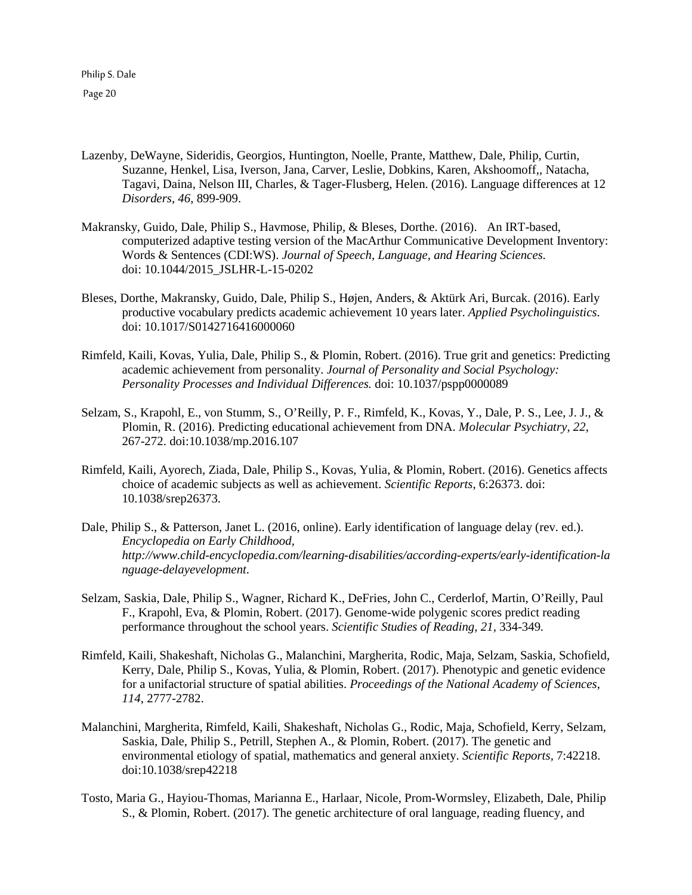- Lazenby, DeWayne, Sideridis, Georgios, Huntington, Noelle, Prante, Matthew, Dale, Philip, Curtin, Suzanne, Henkel, Lisa, Iverson, Jana, Carver, Leslie, Dobkins, Karen, Akshoomoff,, Natacha, Tagavi, Daina, Nelson III, Charles, & Tager-Flusberg, Helen. (2016). Language differences at 12 *Disorders*, *46*, 899-909.
- Makransky, Guido, Dale, Philip S., Havmose, Philip, & Bleses, Dorthe. (2016). An IRT-based, computerized adaptive testing version of the MacArthur Communicative Development Inventory: Words & Sentences (CDI:WS). *Journal of Speech, Language, and Hearing Sciences.* doi: 10.1044/2015\_JSLHR-L-15-0202
- Bleses, Dorthe, Makransky, Guido, Dale, Philip S., Højen, Anders, & Aktürk Ari, Burcak. (2016). Early productive vocabulary predicts academic achievement 10 years later. *Applied Psycholinguistics*. doi: 10.1017/S0142716416000060
- Rimfeld, Kaili, Kovas, Yulia, Dale, Philip S., & Plomin, Robert. (2016). True grit and genetics: Predicting academic achievement from personality. *Journal of Personality and Social Psychology: Personality Processes and Individual Differences.* doi: 10.1037/pspp0000089
- Selzam, S., Krapohl, E., von Stumm, S., O'Reilly, P. F., Rimfeld, K., Kovas, Y., Dale, P. S., Lee, J. J., & Plomin, R. (2016). Predicting educational achievement from DNA. *Molecular Psychiatry*, *22*, 267-272. doi:10.1038/mp.2016.107
- Rimfeld, Kaili, Ayorech, Ziada, Dale, Philip S., Kovas, Yulia, & Plomin, Robert. (2016). Genetics affects choice of academic subjects as well as achievement. *Scientific Reports*, 6:26373. doi: 10.1038/srep26373.
- Dale, Philip S., & Patterson, Janet L. (2016, online). Early identification of language delay (rev. ed.). *Encyclopedia on Early Childhood, http://www.child-encyclopedia.com/learning-disabilities/according-experts/early-identification-la nguage-delayevelopment*.
- Selzam, Saskia, Dale, Philip S., Wagner, Richard K., DeFries, John C., Cerderlof, Martin, O'Reilly, Paul F., Krapohl, Eva, & Plomin, Robert. (2017). Genome-wide polygenic scores predict reading performance throughout the school years. *Scientific Studies of Reading, 21,* 334-349*.*
- Rimfeld, Kaili, Shakeshaft, Nicholas G., Malanchini, Margherita, Rodic, Maja, Selzam, Saskia, Schofield, Kerry, Dale, Philip S., Kovas, Yulia, & Plomin, Robert. (2017). Phenotypic and genetic evidence for a unifactorial structure of spatial abilities. *Proceedings of the National Academy of Sciences*, *114*, 2777-2782.
- Malanchini, Margherita, Rimfeld, Kaili, Shakeshaft, Nicholas G., Rodic, Maja, Schofield, Kerry, Selzam, Saskia, Dale, Philip S., Petrill, Stephen A., & Plomin, Robert. (2017). The genetic and environmental etiology of spatial, mathematics and general anxiety. *Scientific Reports,* 7:42218. doi:10.1038/srep42218
- Tosto, Maria G., Hayiou-Thomas, Marianna E., Harlaar, Nicole, Prom-Wormsley, Elizabeth, Dale, Philip S., & Plomin, Robert. (2017). The genetic architecture of oral language, reading fluency, and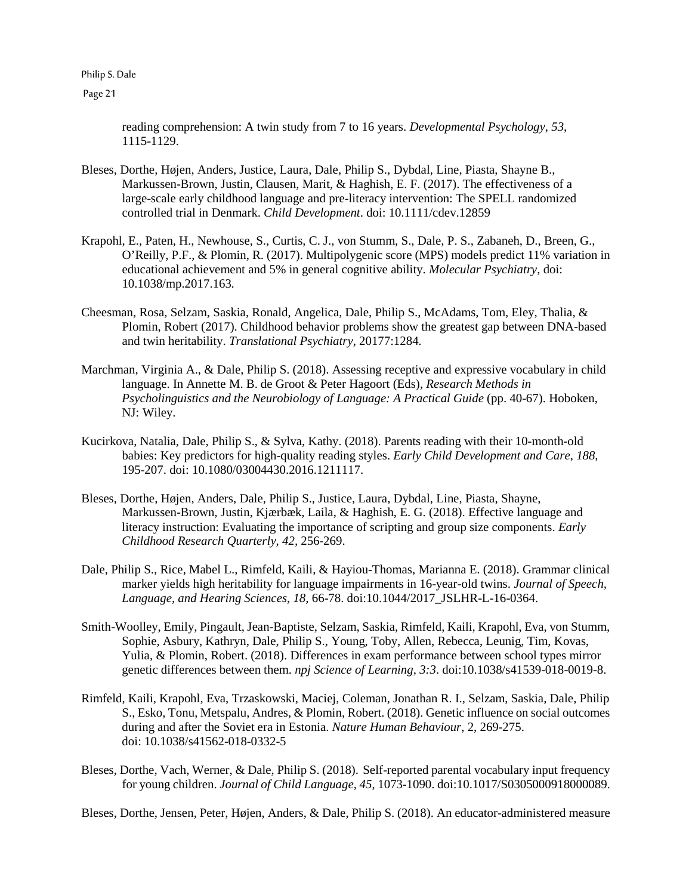Page 21

reading comprehension: A twin study from 7 to 16 years. *Developmental Psychology*, *53*, 1115-1129.

- Bleses, Dorthe, Højen, Anders, Justice, Laura, Dale, Philip S., Dybdal, Line, Piasta, Shayne B., Markussen-Brown, Justin, Clausen, Marit, & Haghish, E. F. (2017). The effectiveness of a large-scale early childhood language and pre-literacy intervention: The SPELL randomized controlled trial in Denmark. *Child Development*. doi: 10.1111/cdev.12859
- Krapohl, E., Paten, H., Newhouse, S., Curtis, C. J., von Stumm, S., Dale, P. S., Zabaneh, D., Breen, G., O'Reilly, P.F., & Plomin, R. (2017). Multipolygenic score (MPS) models predict 11% variation in educational achievement and 5% in general cognitive ability. *Molecular Psychiatry*, doi: 10.1038/mp.2017.163*.*
- Cheesman, Rosa, Selzam, Saskia, Ronald, Angelica, Dale, Philip S., McAdams, Tom, Eley, Thalia, & Plomin, Robert (2017). Childhood behavior problems show the greatest gap between DNA-based and twin heritability. *Translational Psychiatry*, 20177:1284*.*
- Marchman, Virginia A., & Dale, Philip S. (2018). Assessing receptive and expressive vocabulary in child language. In Annette M. B. de Groot & Peter Hagoort (Eds), *Research Methods in Psycholinguistics and the Neurobiology of Language: A Practical Guide* (pp. 40-67). Hoboken, NJ: Wiley.
- Kucirkova, Natalia, Dale, Philip S., & Sylva, Kathy. (2018). Parents reading with their 10-month-old babies: Key predictors for high-quality reading styles. *Early Child Development and Care, 188*, 195-207. doi: 10.1080/03004430.2016.1211117.
- Bleses, Dorthe, Højen, Anders, Dale, Philip S., Justice, Laura, Dybdal, Line, Piasta, Shayne, Markussen-Brown, Justin, Kjærbæk, Laila, & Haghish, E. G. (2018). Effective language and literacy instruction: Evaluating the importance of scripting and group size components. *Early Childhood Research Quarterly, 42,* 256-269.
- Dale, Philip S., Rice, Mabel L., Rimfeld, Kaili, & Hayiou-Thomas, Marianna E. (2018). Grammar clinical marker yields high heritability for language impairments in 16-year-old twins. *Journal of Speech, Language, and Hearing Sciences*, *18,* 66-78. doi:10.1044/2017\_JSLHR-L-16-0364.
- Smith-Woolley, Emily, Pingault, Jean-Baptiste, Selzam, Saskia, Rimfeld, Kaili, Krapohl, Eva, von Stumm, Sophie, Asbury, Kathryn, Dale, Philip S., Young, Toby, Allen, Rebecca, Leunig, Tim, Kovas, Yulia, & Plomin, Robert. (2018). Differences in exam performance between school types mirror genetic differences between them. *npj Science of Learning, 3:3*. doi:10.1038/s41539-018-0019-8.
- Rimfeld, Kaili, Krapohl, Eva, Trzaskowski, Maciej, Coleman, Jonathan R. I., Selzam, Saskia, Dale, Philip S., Esko, Tonu, Metspalu, Andres, & Plomin, Robert. (2018). Genetic influence on social outcomes during and after the Soviet era in Estonia. *Nature Human Behaviour*, 2, 269-275. doi: 10.1038/s41562-018-0332-5
- Bleses, Dorthe, Vach, Werner, & Dale, Philip S. (2018). Self-reported parental vocabulary input frequency for young children. *Journal of Child Language, 45*, 1073-1090. doi:10.1017/S0305000918000089.

Bleses, Dorthe, Jensen, Peter, Højen, Anders, & Dale, Philip S. (2018). An educator-administered measure